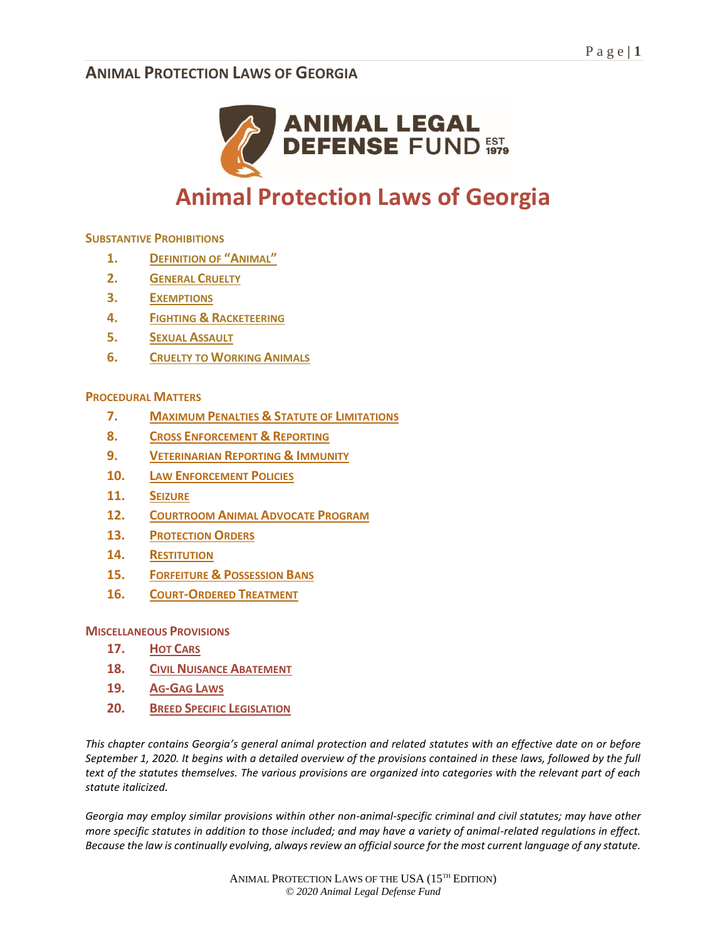

# **Animal Protection Laws of Georgia**

#### **SUBSTANTIVE PROHIBITIONS**

- **1. DEFINITION OF "ANIMAL"**
- **2. GENERAL CRUELTY**
- **3. EXEMPTIONS**
- **4. FIGHTING & RACKETEERING**
- **5. SEXUAL ASSAULT**
- **6. CRUELTY TO WORKING ANIMALS**

#### **PROCEDURAL MATTERS**

- **7. MAXIMUM PENALTIES & STATUTE OF LIMITATIONS**
- **8. CROSS ENFORCEMENT & REPORTING**
- **9. VETERINARIAN REPORTING & IMMUNITY**
- **10. LAW ENFORCEMENT POLICIES**
- **11. SEIZURE**
- **12. COURTROOM ANIMAL ADVOCATE PROGRAM**
- **13. PROTECTION ORDERS**
- **14. RESTITUTION**
- **15. FORFEITURE & POSSESSION BANS**
- **16. COURT-ORDERED TREATMENT**

#### **MISCELLANEOUS PROVISIONS**

- **17. HOT CARS**
- **18. CIVIL NUISANCE ABATEMENT**
- **19. AG-GAG LAWS**
- **20. BREED SPECIFIC LEGISLATION**

*This chapter contains Georgia's general animal protection and related statutes with an effective date on or before September 1, 2020. It begins with a detailed overview of the provisions contained in these laws, followed by the full text of the statutes themselves. The various provisions are organized into categories with the relevant part of each statute italicized.* 

*Georgia may employ similar provisions within other non-animal-specific criminal and civil statutes; may have other more specific statutes in addition to those included; and may have a variety of animal-related regulations in effect. Because the law is continually evolving, always review an official source for the most current language of any statute.*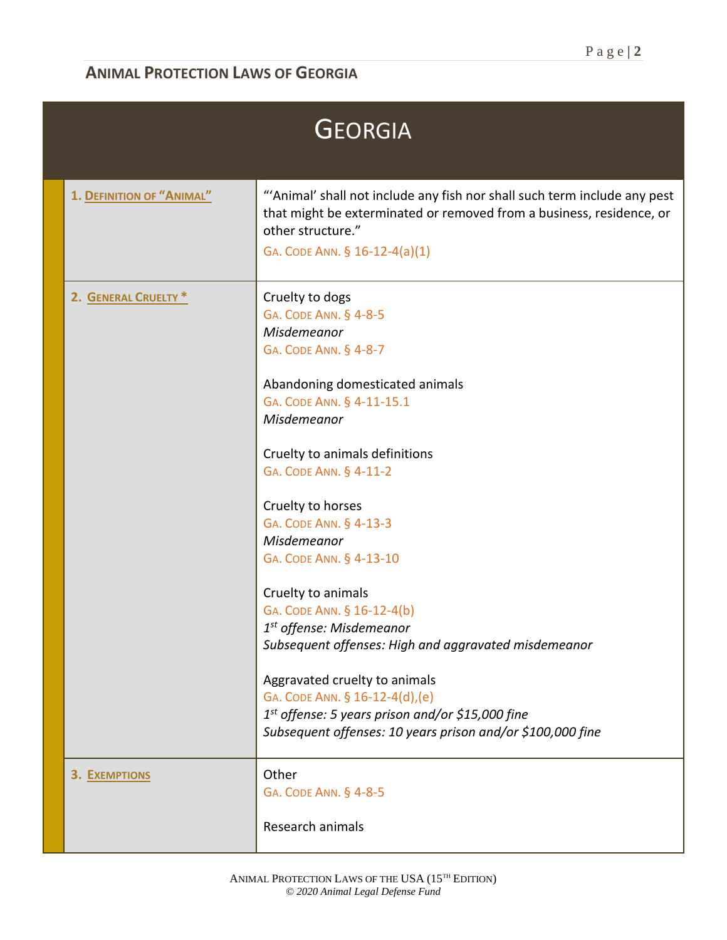| <b>GEORGIA</b>            |                                                                                                                                                                                                                                                                                                                                                                                                                                                                                                                                                                                                                                                                           |  |
|---------------------------|---------------------------------------------------------------------------------------------------------------------------------------------------------------------------------------------------------------------------------------------------------------------------------------------------------------------------------------------------------------------------------------------------------------------------------------------------------------------------------------------------------------------------------------------------------------------------------------------------------------------------------------------------------------------------|--|
| 1. DEFINITION OF "ANIMAL" | "'Animal' shall not include any fish nor shall such term include any pest<br>that might be exterminated or removed from a business, residence, or<br>other structure."<br>GA. CODE ANN. § 16-12-4(a)(1)                                                                                                                                                                                                                                                                                                                                                                                                                                                                   |  |
| 2. GENERAL CRUELTY *      | Cruelty to dogs<br>GA. CODE ANN. § 4-8-5<br>Misdemeanor<br>GA. CODE ANN. § 4-8-7<br>Abandoning domesticated animals<br>GA. CODE ANN. § 4-11-15.1<br>Misdemeanor<br>Cruelty to animals definitions<br>GA. CODE ANN. § 4-11-2<br>Cruelty to horses<br>GA. CODE ANN. § 4-13-3<br>Misdemeanor<br>GA. CODE ANN. § 4-13-10<br>Cruelty to animals<br>GA. CODE ANN. § 16-12-4(b)<br>1 <sup>st</sup> offense: Misdemeanor<br>Subsequent offenses: High and aggravated misdemeanor<br>Aggravated cruelty to animals<br>GA. CODE ANN. § 16-12-4(d),(e)<br>1 <sup>st</sup> offense: 5 years prison and/or \$15,000 fine<br>Subsequent offenses: 10 years prison and/or \$100,000 fine |  |
| 3. EXEMPTIONS             | Other<br>GA. CODE ANN. § 4-8-5<br>Research animals                                                                                                                                                                                                                                                                                                                                                                                                                                                                                                                                                                                                                        |  |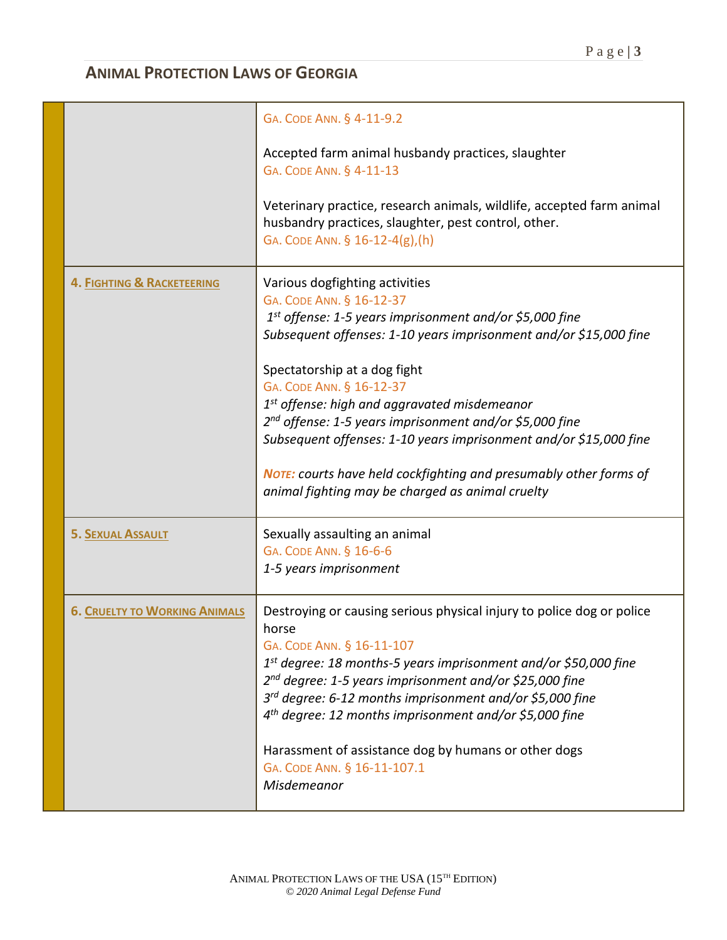|                                      | GA. CODE ANN. § 4-11-9.2<br>Accepted farm animal husbandy practices, slaughter<br>GA. CODE ANN. § 4-11-13<br>Veterinary practice, research animals, wildlife, accepted farm animal<br>husbandry practices, slaughter, pest control, other.<br>GA. CODE ANN. § 16-12-4(g), (h)                                                                                                                                                                                                                                                                                                                    |
|--------------------------------------|--------------------------------------------------------------------------------------------------------------------------------------------------------------------------------------------------------------------------------------------------------------------------------------------------------------------------------------------------------------------------------------------------------------------------------------------------------------------------------------------------------------------------------------------------------------------------------------------------|
| 4. FIGHTING & RACKETEERING           | Various dogfighting activities<br>GA. CODE ANN. § 16-12-37<br>1 <sup>st</sup> offense: 1-5 years imprisonment and/or \$5,000 fine<br>Subsequent offenses: 1-10 years imprisonment and/or \$15,000 fine<br>Spectatorship at a dog fight<br>GA. CODE ANN. § 16-12-37<br>$1st$ offense: high and aggravated misdemeanor<br>2 <sup>nd</sup> offense: 1-5 years imprisonment and/or \$5,000 fine<br>Subsequent offenses: 1-10 years imprisonment and/or \$15,000 fine<br><b>NOTE:</b> courts have held cockfighting and presumably other forms of<br>animal fighting may be charged as animal cruelty |
| <b>5. SEXUAL ASSAULT</b>             | Sexually assaulting an animal<br>GA. CODE ANN. § 16-6-6<br>1-5 years imprisonment                                                                                                                                                                                                                                                                                                                                                                                                                                                                                                                |
| <b>6. CRUELTY TO WORKING ANIMALS</b> | Destroying or causing serious physical injury to police dog or police<br>horse<br>GA. CODE ANN. § 16-11-107<br>1 <sup>st</sup> degree: 18 months-5 years imprisonment and/or \$50,000 fine<br>2 <sup>nd</sup> degree: 1-5 years imprisonment and/or \$25,000 fine<br>3 <sup>rd</sup> degree: 6-12 months imprisonment and/or \$5,000 fine<br>4 <sup>th</sup> degree: 12 months imprisonment and/or \$5,000 fine<br>Harassment of assistance dog by humans or other dogs<br>GA. CODE ANN. § 16-11-107.1<br>Misdemeanor                                                                            |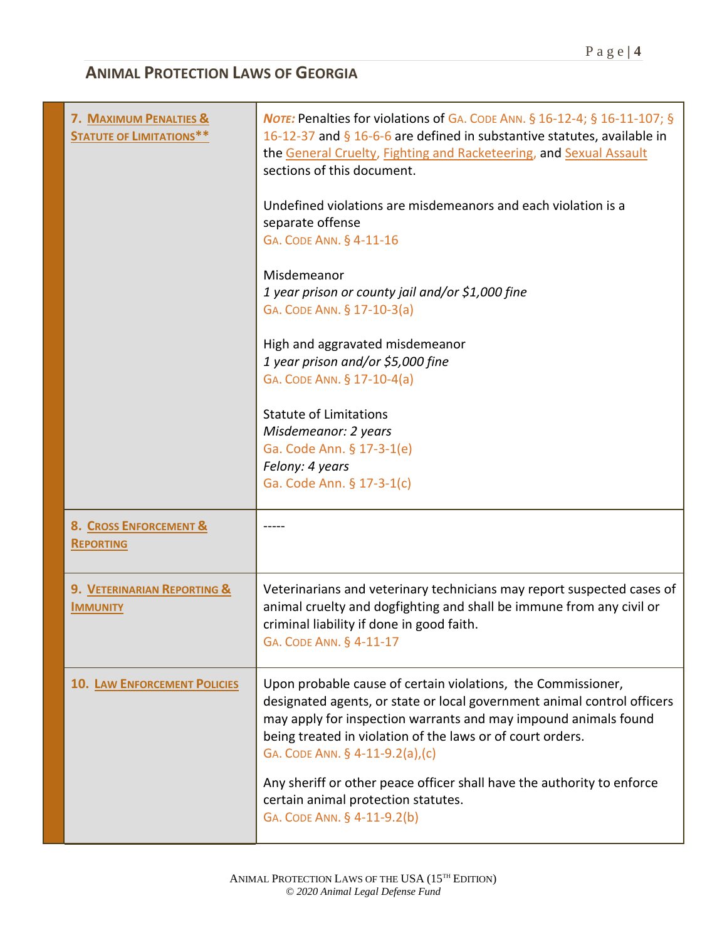| 7. MAXIMUM PENALTIES &<br><b>STATUTE OF LIMITATIONS**</b> | <b>NOTE:</b> Penalties for violations of GA. CODE ANN. § 16-12-4; § 16-11-107; §<br>16-12-37 and § 16-6-6 are defined in substantive statutes, available in<br>the General Cruelty, Fighting and Racketeering, and Sexual Assault<br>sections of this document.<br>Undefined violations are misdemeanors and each violation is a<br>separate offense<br>GA. CODE ANN. § 4-11-16<br>Misdemeanor<br>1 year prison or county jail and/or \$1,000 fine<br>GA. CODE ANN. § 17-10-3(a)<br>High and aggravated misdemeanor<br>1 year prison and/or \$5,000 fine<br>GA. CODE ANN. § 17-10-4(a)<br><b>Statute of Limitations</b><br>Misdemeanor: 2 years<br>Ga. Code Ann. § 17-3-1(e)<br>Felony: 4 years<br>Ga. Code Ann. § 17-3-1(c) |
|-----------------------------------------------------------|------------------------------------------------------------------------------------------------------------------------------------------------------------------------------------------------------------------------------------------------------------------------------------------------------------------------------------------------------------------------------------------------------------------------------------------------------------------------------------------------------------------------------------------------------------------------------------------------------------------------------------------------------------------------------------------------------------------------------|
| 8. CROSS ENFORCEMENT &<br><b>REPORTING</b>                |                                                                                                                                                                                                                                                                                                                                                                                                                                                                                                                                                                                                                                                                                                                              |
| 9. VETERINARIAN REPORTING &<br><b>IMMUNITY</b>            | Veterinarians and veterinary technicians may report suspected cases of<br>animal cruelty and dogfighting and shall be immune from any civil or<br>criminal liability if done in good faith.<br>GA. CODE ANN. § 4-11-17                                                                                                                                                                                                                                                                                                                                                                                                                                                                                                       |
| <b>10. LAW ENFORCEMENT POLICIES</b>                       | Upon probable cause of certain violations, the Commissioner,<br>designated agents, or state or local government animal control officers<br>may apply for inspection warrants and may impound animals found<br>being treated in violation of the laws or of court orders.<br>GA. CODE ANN. § 4-11-9.2(a),(c)<br>Any sheriff or other peace officer shall have the authority to enforce<br>certain animal protection statutes.<br>GA. CODE ANN. § 4-11-9.2(b)                                                                                                                                                                                                                                                                  |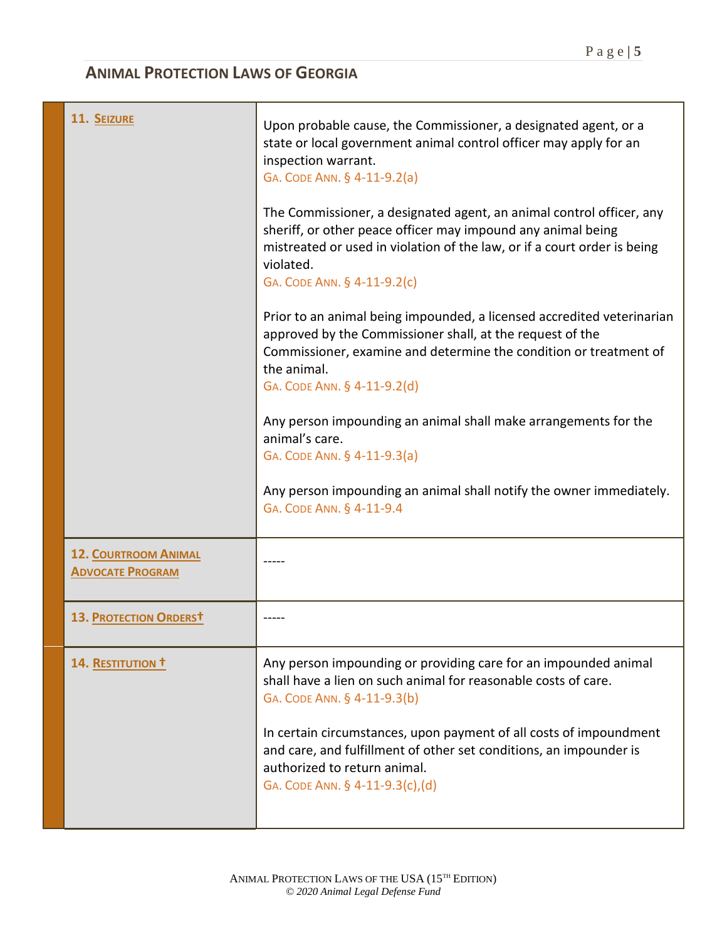| 11. SEIZURE                                            | Upon probable cause, the Commissioner, a designated agent, or a<br>state or local government animal control officer may apply for an<br>inspection warrant.<br>GA. CODE ANN. § 4-11-9.2(a)<br>The Commissioner, a designated agent, an animal control officer, any<br>sheriff, or other peace officer may impound any animal being<br>mistreated or used in violation of the law, or if a court order is being |
|--------------------------------------------------------|----------------------------------------------------------------------------------------------------------------------------------------------------------------------------------------------------------------------------------------------------------------------------------------------------------------------------------------------------------------------------------------------------------------|
|                                                        | violated.<br>GA. CODE ANN. § 4-11-9.2(c)                                                                                                                                                                                                                                                                                                                                                                       |
|                                                        | Prior to an animal being impounded, a licensed accredited veterinarian<br>approved by the Commissioner shall, at the request of the<br>Commissioner, examine and determine the condition or treatment of<br>the animal.                                                                                                                                                                                        |
|                                                        | GA. CODE ANN. § 4-11-9.2(d)<br>Any person impounding an animal shall make arrangements for the                                                                                                                                                                                                                                                                                                                 |
|                                                        | animal's care.<br>GA. CODE ANN. § 4-11-9.3(a)                                                                                                                                                                                                                                                                                                                                                                  |
|                                                        | Any person impounding an animal shall notify the owner immediately.<br>GA. CODE ANN. § 4-11-9.4                                                                                                                                                                                                                                                                                                                |
| <b>12. COURTROOM ANIMAL</b><br><b>ADVOCATE PROGRAM</b> |                                                                                                                                                                                                                                                                                                                                                                                                                |
| 13. PROTECTION ORDERST                                 |                                                                                                                                                                                                                                                                                                                                                                                                                |
| 14. RESTITUTION <sup>t</sup>                           | Any person impounding or providing care for an impounded animal<br>shall have a lien on such animal for reasonable costs of care.<br>GA. CODE ANN. § 4-11-9.3(b)                                                                                                                                                                                                                                               |
|                                                        | In certain circumstances, upon payment of all costs of impoundment<br>and care, and fulfillment of other set conditions, an impounder is<br>authorized to return animal.<br>GA. CODE ANN. § 4-11-9.3(c),(d)                                                                                                                                                                                                    |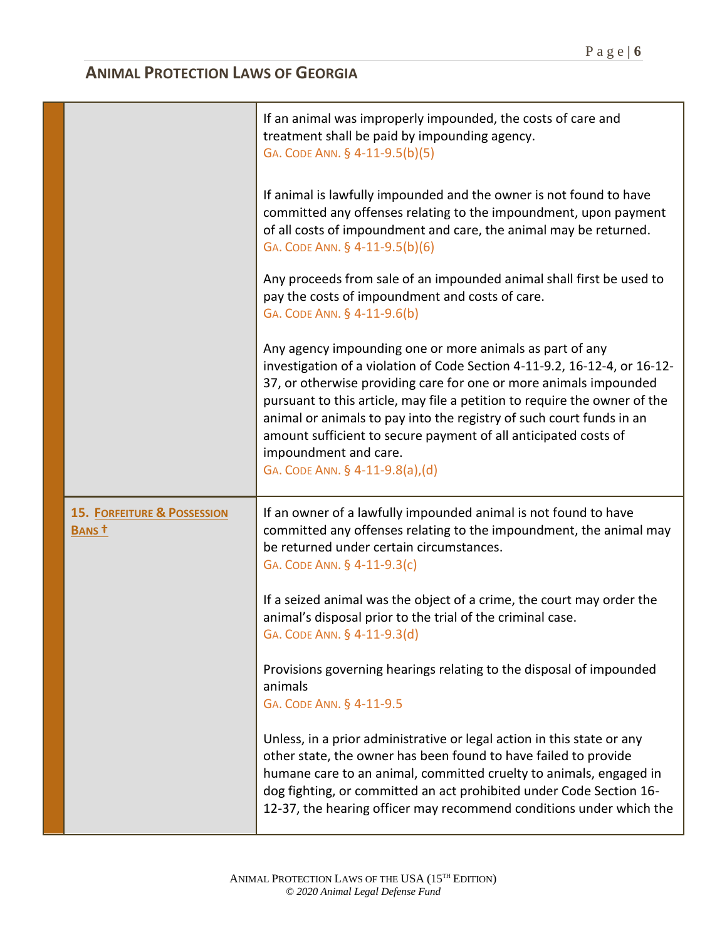|                                                  | If an animal was improperly impounded, the costs of care and<br>treatment shall be paid by impounding agency.<br>GA. CODE ANN. § 4-11-9.5(b)(5)                                                                                                                                                                                                                                                                                                                                                |
|--------------------------------------------------|------------------------------------------------------------------------------------------------------------------------------------------------------------------------------------------------------------------------------------------------------------------------------------------------------------------------------------------------------------------------------------------------------------------------------------------------------------------------------------------------|
|                                                  | If animal is lawfully impounded and the owner is not found to have<br>committed any offenses relating to the impoundment, upon payment<br>of all costs of impoundment and care, the animal may be returned.<br>GA. CODE ANN. § 4-11-9.5(b)(6)                                                                                                                                                                                                                                                  |
|                                                  | Any proceeds from sale of an impounded animal shall first be used to<br>pay the costs of impoundment and costs of care.<br>GA. CODE ANN. § 4-11-9.6(b)                                                                                                                                                                                                                                                                                                                                         |
|                                                  | Any agency impounding one or more animals as part of any<br>investigation of a violation of Code Section 4-11-9.2, 16-12-4, or 16-12-<br>37, or otherwise providing care for one or more animals impounded<br>pursuant to this article, may file a petition to require the owner of the<br>animal or animals to pay into the registry of such court funds in an<br>amount sufficient to secure payment of all anticipated costs of<br>impoundment and care.<br>GA. CODE ANN. § 4-11-9.8(a),(d) |
| <b>15. FORFEITURE &amp; POSSESSION</b><br>BANS t | If an owner of a lawfully impounded animal is not found to have<br>committed any offenses relating to the impoundment, the animal may<br>be returned under certain circumstances.                                                                                                                                                                                                                                                                                                              |
|                                                  | GA. CODE ANN. § 4-11-9.3(c)                                                                                                                                                                                                                                                                                                                                                                                                                                                                    |
|                                                  | If a seized animal was the object of a crime, the court may order the<br>animal's disposal prior to the trial of the criminal case.<br>GA. CODE ANN. § 4-11-9.3(d)                                                                                                                                                                                                                                                                                                                             |
|                                                  | Provisions governing hearings relating to the disposal of impounded<br>animals<br>GA. CODE ANN. § 4-11-9.5                                                                                                                                                                                                                                                                                                                                                                                     |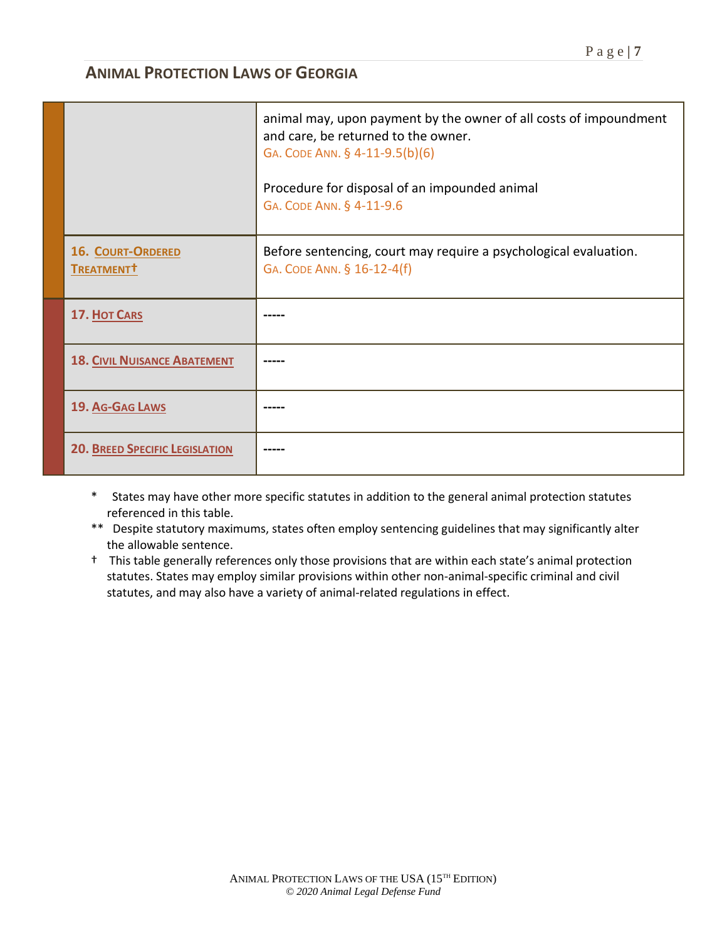|                                             | animal may, upon payment by the owner of all costs of impoundment<br>and care, be returned to the owner.<br>GA. CODE ANN. § 4-11-9.5(b)(6)<br>Procedure for disposal of an impounded animal<br>GA. CODE ANN. § 4-11-9.6 |
|---------------------------------------------|-------------------------------------------------------------------------------------------------------------------------------------------------------------------------------------------------------------------------|
| 16. COURT-ORDERED<br>TREATMENT <sup>†</sup> | Before sentencing, court may require a psychological evaluation.<br>GA. CODE ANN. § 16-12-4(f)                                                                                                                          |
| 17. HOT CARS                                |                                                                                                                                                                                                                         |
| <b>18. CIVIL NUISANCE ABATEMENT</b>         |                                                                                                                                                                                                                         |
| 19. AG-GAG LAWS                             |                                                                                                                                                                                                                         |
| <b>20. BREED SPECIFIC LEGISLATION</b>       |                                                                                                                                                                                                                         |

- \* States may have other more specific statutes in addition to the general animal protection statutes referenced in this table.
- \*\* Despite statutory maximums, states often employ sentencing guidelines that may significantly alter the allowable sentence.
- † This table generally references only those provisions that are within each state's animal protection statutes. States may employ similar provisions within other non-animal-specific criminal and civil statutes, and may also have a variety of animal-related regulations in effect.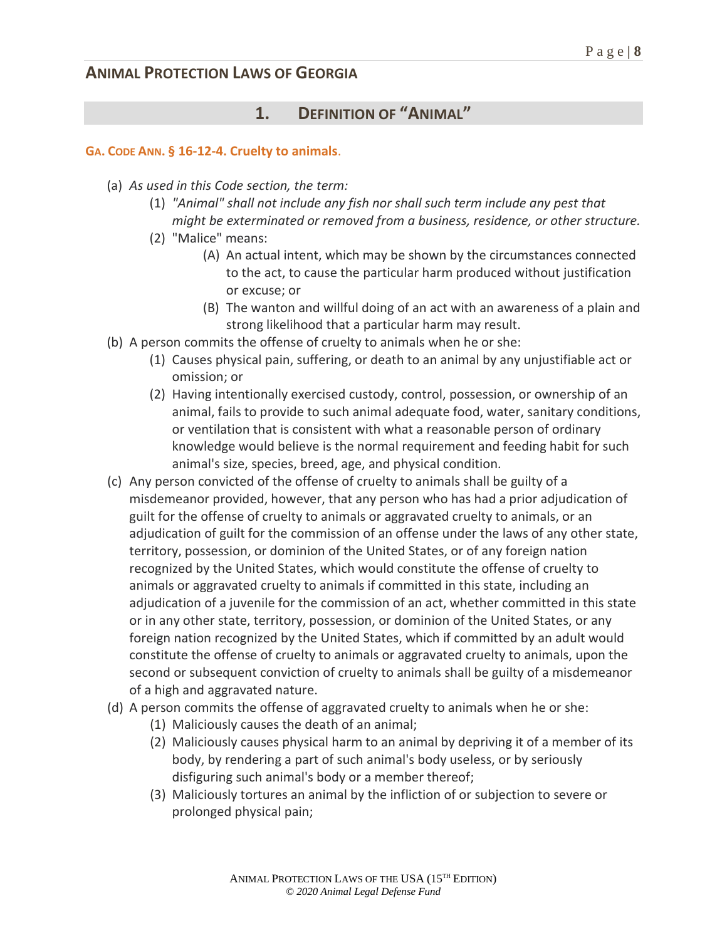## **1. DEFINITION OF "ANIMAL"**

#### **GA. CODE ANN. § 16-12-4. Cruelty to animals**.

- (a) *As used in this Code section, the term:*
	- (1) *"Animal" shall not include any fish nor shall such term include any pest that might be exterminated or removed from a business, residence, or other structure.*
	- (2) "Malice" means:
		- (A) An actual intent, which may be shown by the circumstances connected to the act, to cause the particular harm produced without justification or excuse; or
		- (B) The wanton and willful doing of an act with an awareness of a plain and strong likelihood that a particular harm may result.
- (b) A person commits the offense of cruelty to animals when he or she:
	- (1) Causes physical pain, suffering, or death to an animal by any unjustifiable act or omission; or
	- (2) Having intentionally exercised custody, control, possession, or ownership of an animal, fails to provide to such animal adequate food, water, sanitary conditions, or ventilation that is consistent with what a reasonable person of ordinary knowledge would believe is the normal requirement and feeding habit for such animal's size, species, breed, age, and physical condition*.*
- (c) Any person convicted of the offense of cruelty to animals shall be guilty of a misdemeanor provided, however, that any person who has had a prior adjudication of guilt for the offense of cruelty to animals or aggravated cruelty to animals, or an adjudication of guilt for the commission of an offense under the laws of any other state, territory, possession, or dominion of the United States, or of any foreign nation recognized by the United States, which would constitute the offense of cruelty to animals or aggravated cruelty to animals if committed in this state, including an adjudication of a juvenile for the commission of an act, whether committed in this state or in any other state, territory, possession, or dominion of the United States, or any foreign nation recognized by the United States, which if committed by an adult would constitute the offense of cruelty to animals or aggravated cruelty to animals, upon the second or subsequent conviction of cruelty to animals shall be guilty of a misdemeanor of a high and aggravated nature.
- (d) A person commits the offense of aggravated cruelty to animals when he or she:
	- (1) Maliciously causes the death of an animal;
	- (2) Maliciously causes physical harm to an animal by depriving it of a member of its body, by rendering a part of such animal's body useless, or by seriously disfiguring such animal's body or a member thereof;
	- (3) Maliciously tortures an animal by the infliction of or subjection to severe or prolonged physical pain;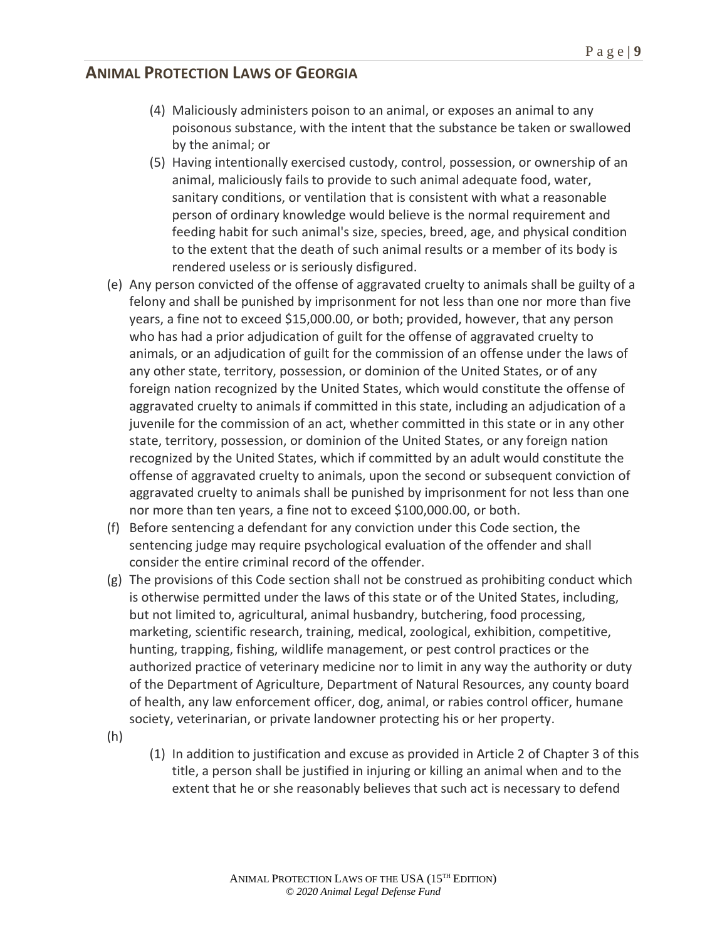- (4) Maliciously administers poison to an animal, or exposes an animal to any poisonous substance, with the intent that the substance be taken or swallowed by the animal; or
- (5) Having intentionally exercised custody, control, possession, or ownership of an animal, maliciously fails to provide to such animal adequate food, water, sanitary conditions, or ventilation that is consistent with what a reasonable person of ordinary knowledge would believe is the normal requirement and feeding habit for such animal's size, species, breed, age, and physical condition to the extent that the death of such animal results or a member of its body is rendered useless or is seriously disfigured.
- (e) Any person convicted of the offense of aggravated cruelty to animals shall be guilty of a felony and shall be punished by imprisonment for not less than one nor more than five years, a fine not to exceed \$15,000.00, or both; provided, however, that any person who has had a prior adjudication of guilt for the offense of aggravated cruelty to animals, or an adjudication of guilt for the commission of an offense under the laws of any other state, territory, possession, or dominion of the United States, or of any foreign nation recognized by the United States, which would constitute the offense of aggravated cruelty to animals if committed in this state, including an adjudication of a juvenile for the commission of an act, whether committed in this state or in any other state, territory, possession, or dominion of the United States, or any foreign nation recognized by the United States, which if committed by an adult would constitute the offense of aggravated cruelty to animals, upon the second or subsequent conviction of aggravated cruelty to animals shall be punished by imprisonment for not less than one nor more than ten years, a fine not to exceed \$100,000.00, or both.
- (f) Before sentencing a defendant for any conviction under this Code section, the sentencing judge may require psychological evaluation of the offender and shall consider the entire criminal record of the offender.
- (g) The provisions of this Code section shall not be construed as prohibiting conduct which is otherwise permitted under the laws of this state or of the United States, including, but not limited to, agricultural, animal husbandry, butchering, food processing, marketing, scientific research, training, medical, zoological, exhibition, competitive, hunting, trapping, fishing, wildlife management, or pest control practices or the authorized practice of veterinary medicine nor to limit in any way the authority or duty of the Department of Agriculture, Department of Natural Resources, any county board of health, any law enforcement officer, dog, animal, or rabies control officer, humane society, veterinarian, or private landowner protecting his or her property.
- (h)
- (1) In addition to justification and excuse as provided in Article 2 of Chapter 3 of this title, a person shall be justified in injuring or killing an animal when and to the extent that he or she reasonably believes that such act is necessary to defend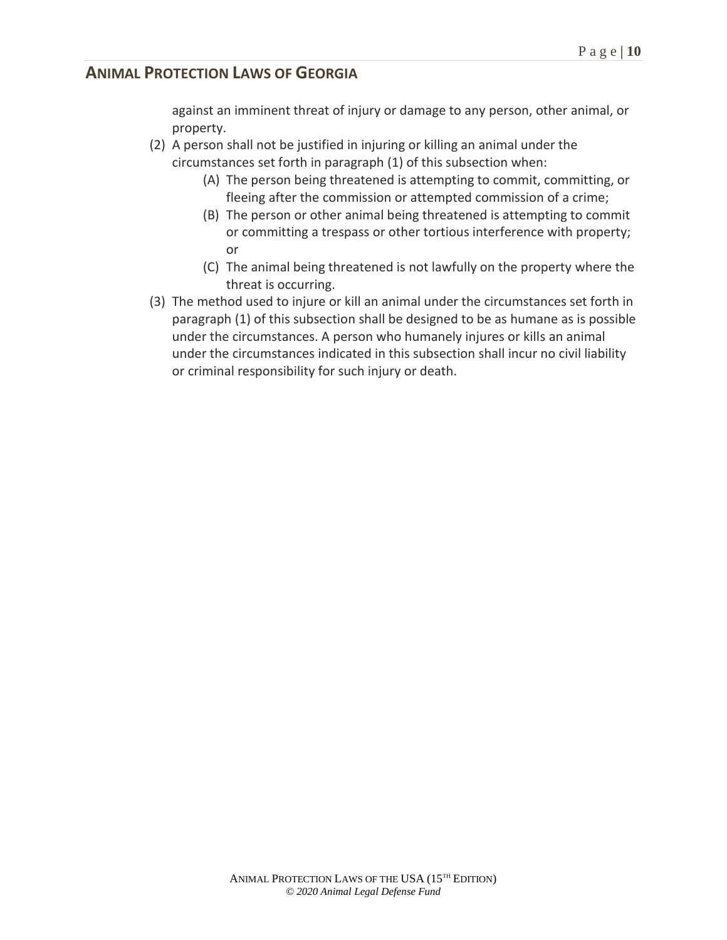against an imminent threat of injury or damage to any person, other animal, or property.

- (2) A person shall not be justified in injuring or killing an animal under the circumstances set forth in paragraph (1) of this subsection when:
	- (A) The person being threatened is attempting to commit, committing, or fleeing after the commission or attempted commission of a crime;
	- (B) The person or other animal being threatened is attempting to commit or committing a trespass or other tortious interference with property; or
	- (C) The animal being threatened is not lawfully on the property where the threat is occurring.
- (3) The method used to injure or kill an animal under the circumstances set forth in paragraph (1) of this subsection shall be designed to be as humane as is possible under the circumstances. A person who humanely injures or kills an animal under the circumstances indicated in this subsection shall incur no civil liability or criminal responsibility for such injury or death.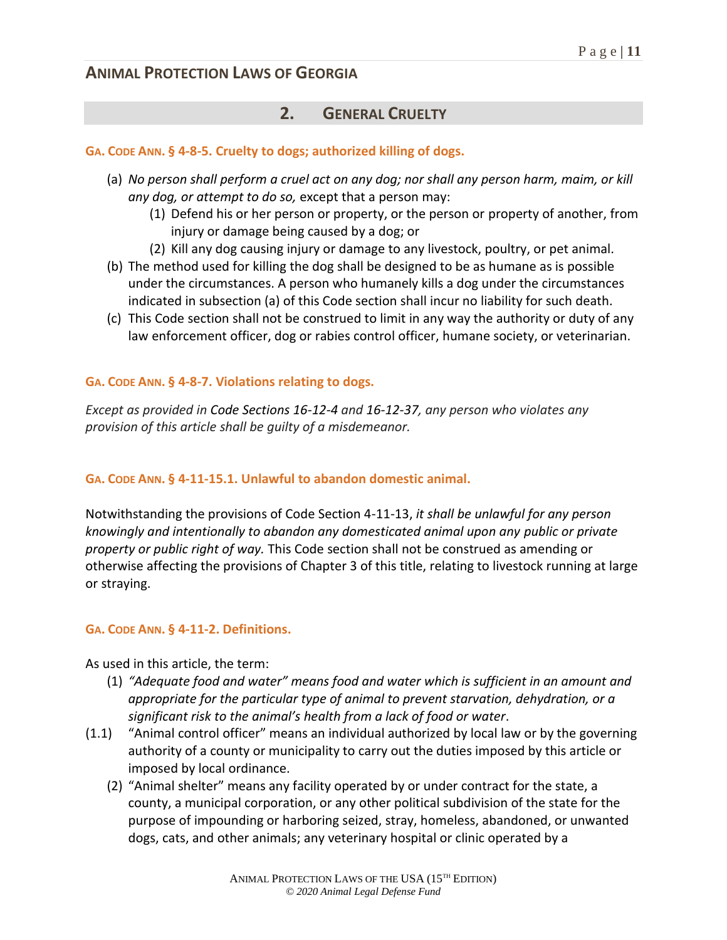## **2. GENERAL CRUELTY**

**GA. CODE ANN. § 4-8-5. Cruelty to dogs; authorized killing of dogs.**

- (a) *No person shall perform a cruel act on any dog; nor shall any person harm, maim, or kill any dog, or attempt to do so,* except that a person may:
	- (1) Defend his or her person or property, or the person or property of another, from injury or damage being caused by a dog; or
	- (2) Kill any dog causing injury or damage to any livestock, poultry, or pet animal.
- (b) The method used for killing the dog shall be designed to be as humane as is possible under the circumstances. A person who humanely kills a dog under the circumstances indicated in subsection (a) of this Code section shall incur no liability for such death*.*
- (c) This Code section shall not be construed to limit in any way the authority or duty of any law enforcement officer, dog or rabies control officer, humane society, or veterinarian.

### **GA. CODE ANN. § 4-8-7. Violations relating to dogs.**

*Except as provided in Code Sections 16-12-4 and 16-12-37, any person who violates any provision of this article shall be guilty of a misdemeanor.*

### **GA. CODE ANN. § 4-11-15.1. Unlawful to abandon domestic animal.**

Notwithstanding the provisions of Code Section 4-11-13, *it shall be unlawful for any person knowingly and intentionally to abandon any domesticated animal upon any public or private property or public right of way.* This Code section shall not be construed as amending or otherwise affecting the provisions of Chapter 3 of this title, relating to livestock running at large or straying.

#### **GA. CODE ANN. § 4-11-2. Definitions.**

As used in this article, the term:

- (1) *"Adequate food and water" means food and water which is sufficient in an amount and appropriate for the particular type of animal to prevent starvation, dehydration, or a significant risk to the animal's health from a lack of food or water*.
- (1.1) "Animal control officer" means an individual authorized by local law or by the governing authority of a county or municipality to carry out the duties imposed by this article or imposed by local ordinance.
	- (2) "Animal shelter" means any facility operated by or under contract for the state, a county, a municipal corporation, or any other political subdivision of the state for the purpose of impounding or harboring seized, stray, homeless, abandoned, or unwanted dogs, cats, and other animals; any veterinary hospital or clinic operated by a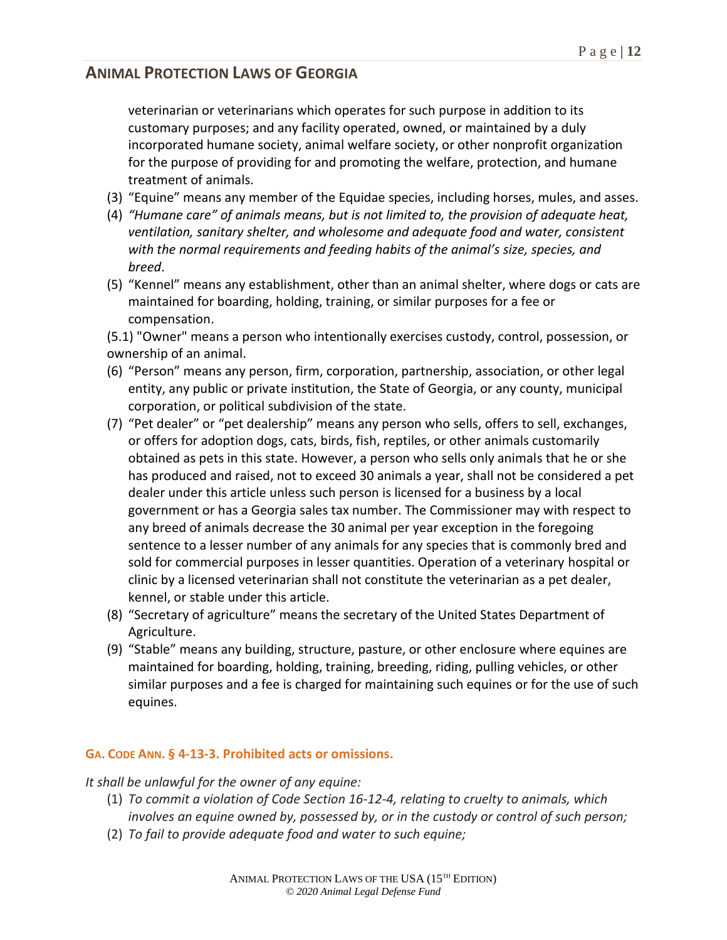veterinarian or veterinarians which operates for such purpose in addition to its customary purposes; and any facility operated, owned, or maintained by a duly incorporated humane society, animal welfare society, or other nonprofit organization for the purpose of providing for and promoting the welfare, protection, and humane treatment of animals.

- (3) "Equine" means any member of the Equidae species, including horses, mules, and asses.
- (4) *"Humane care" of animals means, but is not limited to, the provision of adequate heat, ventilation, sanitary shelter, and wholesome and adequate food and water, consistent with the normal requirements and feeding habits of the animal's size, species, and breed*.
- (5) "Kennel" means any establishment, other than an animal shelter, where dogs or cats are maintained for boarding, holding, training, or similar purposes for a fee or compensation.

(5.1) "Owner" means a person who intentionally exercises custody, control, possession, or ownership of an animal.

- (6) "Person" means any person, firm, corporation, partnership, association, or other legal entity, any public or private institution, the State of Georgia, or any county, municipal corporation, or political subdivision of the state.
- (7) "Pet dealer" or "pet dealership" means any person who sells, offers to sell, exchanges, or offers for adoption dogs, cats, birds, fish, reptiles, or other animals customarily obtained as pets in this state. However, a person who sells only animals that he or she has produced and raised, not to exceed 30 animals a year, shall not be considered a pet dealer under this article unless such person is licensed for a business by a local government or has a Georgia sales tax number. The Commissioner may with respect to any breed of animals decrease the 30 animal per year exception in the foregoing sentence to a lesser number of any animals for any species that is commonly bred and sold for commercial purposes in lesser quantities. Operation of a veterinary hospital or clinic by a licensed veterinarian shall not constitute the veterinarian as a pet dealer, kennel, or stable under this article.
- (8) "Secretary of agriculture" means the secretary of the United States Department of Agriculture.
- (9) "Stable" means any building, structure, pasture, or other enclosure where equines are maintained for boarding, holding, training, breeding, riding, pulling vehicles, or other similar purposes and a fee is charged for maintaining such equines or for the use of such equines.

### **GA. CODE ANN. § 4-13-3. Prohibited acts or omissions.**

*It shall be unlawful for the owner of any equine:*

- (1) *To commit a violation of Code Section 16-12-4, relating to cruelty to animals, which involves an equine owned by, possessed by, or in the custody or control of such person;*
- (2) *To fail to provide adequate food and water to such equine;*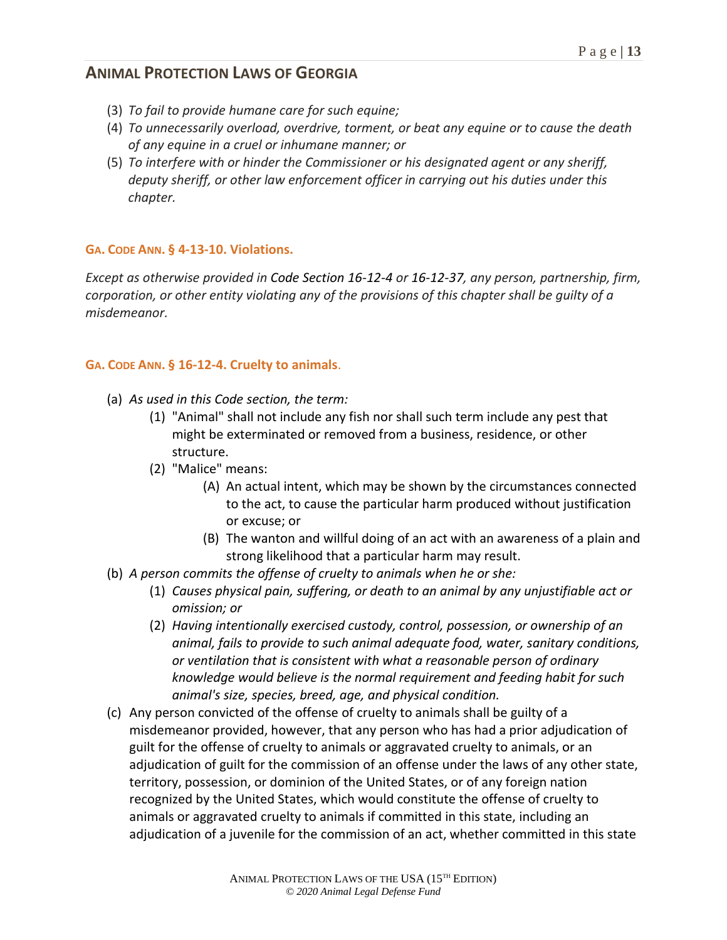- (3) *To fail to provide humane care for such equine;*
- (4) *To unnecessarily overload, overdrive, torment, or beat any equine or to cause the death of any equine in a cruel or inhumane manner; or*
- (5) *To interfere with or hinder the Commissioner or his designated agent or any sheriff, deputy sheriff, or other law enforcement officer in carrying out his duties under this chapter.*

### **GA. CODE ANN. § 4-13-10. Violations.**

*Except as otherwise provided in Code Section 16-12-4 or 16-12-37, any person, partnership, firm, corporation, or other entity violating any of the provisions of this chapter shall be guilty of a misdemeanor.*

### **GA. CODE ANN. § 16-12-4. Cruelty to animals**.

- (a) *As used in this Code section, the term:*
	- (1) "Animal" shall not include any fish nor shall such term include any pest that might be exterminated or removed from a business, residence, or other structure.
	- (2) "Malice" means:
		- (A) An actual intent, which may be shown by the circumstances connected to the act, to cause the particular harm produced without justification or excuse; or
		- (B) The wanton and willful doing of an act with an awareness of a plain and strong likelihood that a particular harm may result.
- (b) *A person commits the offense of cruelty to animals when he or she:*
	- (1) *Causes physical pain, suffering, or death to an animal by any unjustifiable act or omission; or*
	- (2) *Having intentionally exercised custody, control, possession, or ownership of an animal, fails to provide to such animal adequate food, water, sanitary conditions, or ventilation that is consistent with what a reasonable person of ordinary knowledge would believe is the normal requirement and feeding habit for such animal's size, species, breed, age, and physical condition.*
- (c) Any person convicted of the offense of cruelty to animals shall be guilty of a misdemeanor provided, however, that any person who has had a prior adjudication of guilt for the offense of cruelty to animals or aggravated cruelty to animals, or an adjudication of guilt for the commission of an offense under the laws of any other state, territory, possession, or dominion of the United States, or of any foreign nation recognized by the United States, which would constitute the offense of cruelty to animals or aggravated cruelty to animals if committed in this state, including an adjudication of a juvenile for the commission of an act, whether committed in this state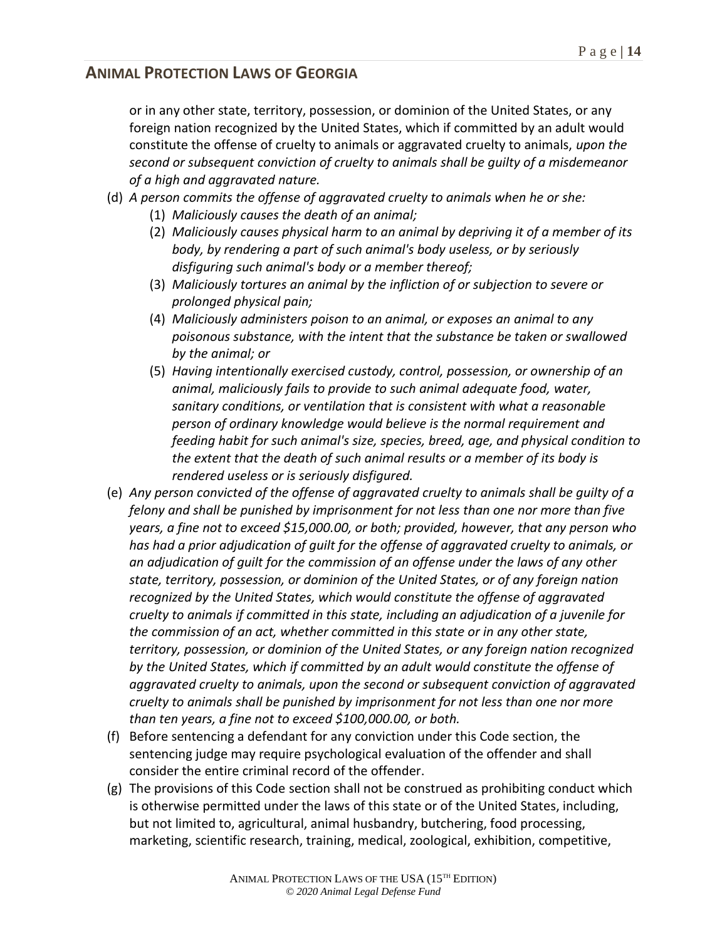or in any other state, territory, possession, or dominion of the United States, or any foreign nation recognized by the United States, which if committed by an adult would constitute the offense of cruelty to animals or aggravated cruelty to animals, *upon the second or subsequent conviction of cruelty to animals shall be guilty of a misdemeanor of a high and aggravated nature.*

- (d) *A person commits the offense of aggravated cruelty to animals when he or she:*
	- (1) *Maliciously causes the death of an animal;*
	- (2) *Maliciously causes physical harm to an animal by depriving it of a member of its body, by rendering a part of such animal's body useless, or by seriously disfiguring such animal's body or a member thereof;*
	- (3) *Maliciously tortures an animal by the infliction of or subjection to severe or prolonged physical pain;*
	- (4) *Maliciously administers poison to an animal, or exposes an animal to any poisonous substance, with the intent that the substance be taken or swallowed by the animal; or*
	- (5) *Having intentionally exercised custody, control, possession, or ownership of an animal, maliciously fails to provide to such animal adequate food, water, sanitary conditions, or ventilation that is consistent with what a reasonable person of ordinary knowledge would believe is the normal requirement and feeding habit for such animal's size, species, breed, age, and physical condition to the extent that the death of such animal results or a member of its body is rendered useless or is seriously disfigured.*
- (e) *Any person convicted of the offense of aggravated cruelty to animals shall be guilty of a felony and shall be punished by imprisonment for not less than one nor more than five years, a fine not to exceed \$15,000.00, or both; provided, however, that any person who has had a prior adjudication of guilt for the offense of aggravated cruelty to animals, or an adjudication of guilt for the commission of an offense under the laws of any other state, territory, possession, or dominion of the United States, or of any foreign nation recognized by the United States, which would constitute the offense of aggravated cruelty to animals if committed in this state, including an adjudication of a juvenile for the commission of an act, whether committed in this state or in any other state, territory, possession, or dominion of the United States, or any foreign nation recognized by the United States, which if committed by an adult would constitute the offense of aggravated cruelty to animals, upon the second or subsequent conviction of aggravated cruelty to animals shall be punished by imprisonment for not less than one nor more than ten years, a fine not to exceed \$100,000.00, or both.*
- (f) Before sentencing a defendant for any conviction under this Code section, the sentencing judge may require psychological evaluation of the offender and shall consider the entire criminal record of the offender.
- (g) The provisions of this Code section shall not be construed as prohibiting conduct which is otherwise permitted under the laws of this state or of the United States, including, but not limited to, agricultural, animal husbandry, butchering, food processing, marketing, scientific research, training, medical, zoological, exhibition, competitive,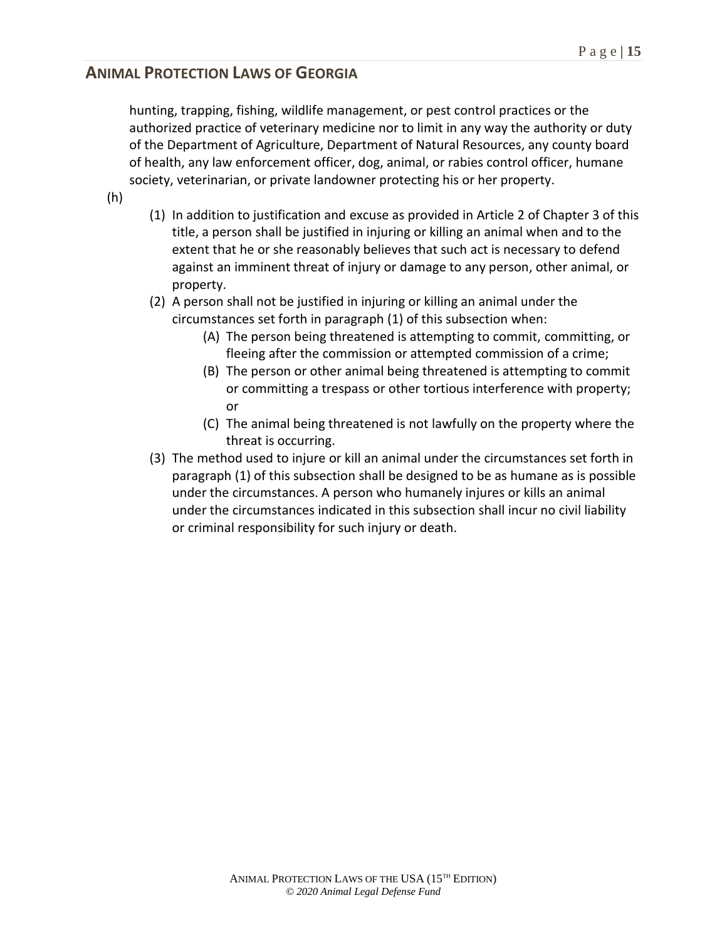hunting, trapping, fishing, wildlife management, or pest control practices or the authorized practice of veterinary medicine nor to limit in any way the authority or duty of the Department of Agriculture, Department of Natural Resources, any county board of health, any law enforcement officer, dog, animal, or rabies control officer, humane society, veterinarian, or private landowner protecting his or her property.

- (h)
- (1) In addition to justification and excuse as provided in Article 2 of Chapter 3 of this title, a person shall be justified in injuring or killing an animal when and to the extent that he or she reasonably believes that such act is necessary to defend against an imminent threat of injury or damage to any person, other animal, or property.
- (2) A person shall not be justified in injuring or killing an animal under the circumstances set forth in paragraph (1) of this subsection when:
	- (A) The person being threatened is attempting to commit, committing, or fleeing after the commission or attempted commission of a crime;
	- (B) The person or other animal being threatened is attempting to commit or committing a trespass or other tortious interference with property; or
	- (C) The animal being threatened is not lawfully on the property where the threat is occurring.
- (3) The method used to injure or kill an animal under the circumstances set forth in paragraph (1) of this subsection shall be designed to be as humane as is possible under the circumstances. A person who humanely injures or kills an animal under the circumstances indicated in this subsection shall incur no civil liability or criminal responsibility for such injury or death.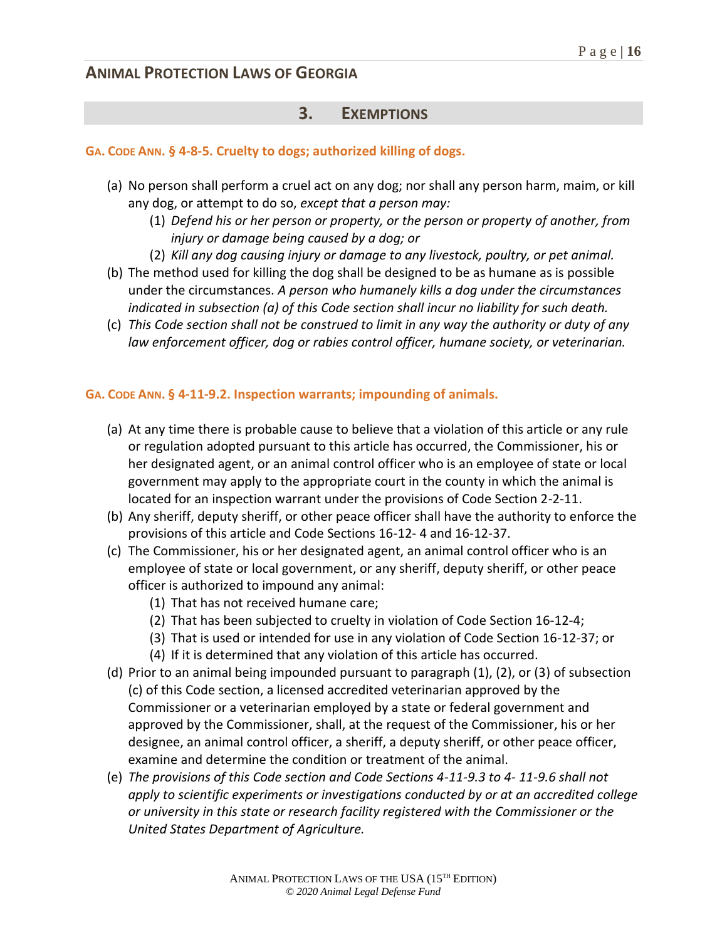## **3. EXEMPTIONS**

### **GA. CODE ANN. § 4-8-5. Cruelty to dogs; authorized killing of dogs.**

- (a) No person shall perform a cruel act on any dog; nor shall any person harm, maim, or kill any dog, or attempt to do so, *except that a person may:*
	- (1) *Defend his or her person or property, or the person or property of another, from injury or damage being caused by a dog; or*
	- (2) *Kill any dog causing injury or damage to any livestock, poultry, or pet animal.*
- (b) The method used for killing the dog shall be designed to be as humane as is possible under the circumstances. *A person who humanely kills a dog under the circumstances indicated in subsection (a) of this Code section shall incur no liability for such death.*
- (c) *This Code section shall not be construed to limit in any way the authority or duty of any law enforcement officer, dog or rabies control officer, humane society, or veterinarian.*

#### **GA. CODE ANN. § 4-11-9.2. Inspection warrants; impounding of animals.**

- (a) At any time there is probable cause to believe that a violation of this article or any rule or regulation adopted pursuant to this article has occurred, the Commissioner, his or her designated agent, or an animal control officer who is an employee of state or local government may apply to the appropriate court in the county in which the animal is located for an inspection warrant under the provisions of Code Section 2-2-11.
- (b) Any sheriff, deputy sheriff, or other peace officer shall have the authority to enforce the provisions of this article and Code Sections 16-12- 4 and 16-12-37.
- (c) The Commissioner, his or her designated agent, an animal control officer who is an employee of state or local government, or any sheriff, deputy sheriff, or other peace officer is authorized to impound any animal:
	- (1) That has not received humane care;
	- (2) That has been subjected to cruelty in violation of Code Section 16-12-4;
	- (3) That is used or intended for use in any violation of Code Section 16-12-37; or
	- (4) If it is determined that any violation of this article has occurred.
- (d) Prior to an animal being impounded pursuant to paragraph (1), (2), or (3) of subsection (c) of this Code section, a licensed accredited veterinarian approved by the Commissioner or a veterinarian employed by a state or federal government and approved by the Commissioner, shall, at the request of the Commissioner, his or her designee, an animal control officer, a sheriff, a deputy sheriff, or other peace officer, examine and determine the condition or treatment of the animal.
- (e) *The provisions of this Code section and Code Sections 4-11-9.3 to 4- 11-9.6 shall not apply to scientific experiments or investigations conducted by or at an accredited college or university in this state or research facility registered with the Commissioner or the United States Department of Agriculture.*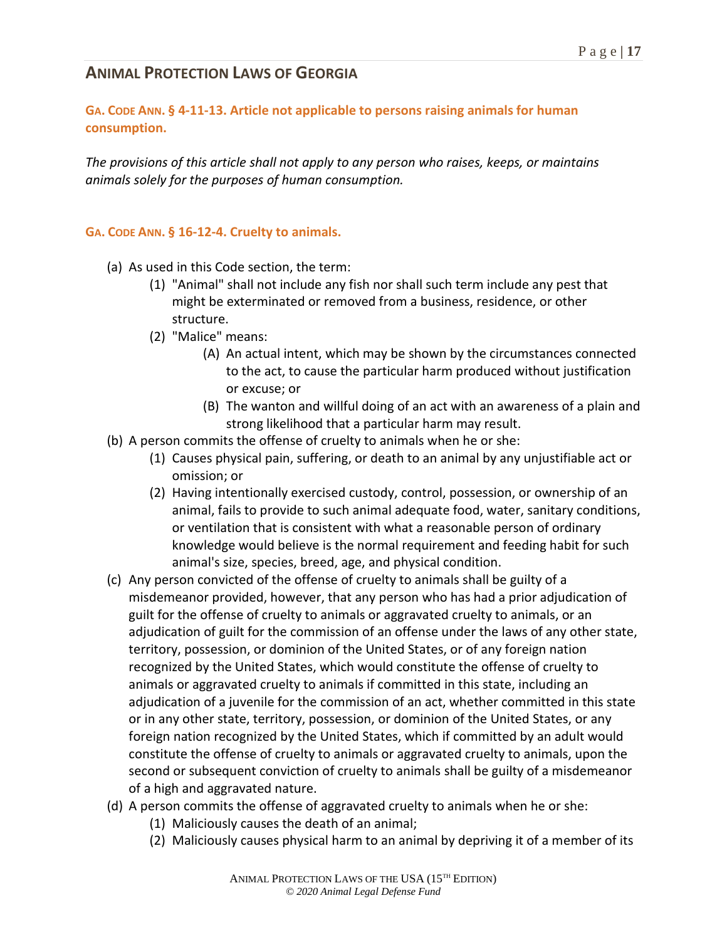### **GA. CODE ANN. § 4-11-13. Article not applicable to persons raising animals for human consumption.**

*The provisions of this article shall not apply to any person who raises, keeps, or maintains animals solely for the purposes of human consumption.*

#### **GA. CODE ANN. § 16-12-4. Cruelty to animals.**

- (a) As used in this Code section, the term:
	- (1) "Animal" shall not include any fish nor shall such term include any pest that might be exterminated or removed from a business, residence, or other structure.
	- (2) "Malice" means:
		- (A) An actual intent, which may be shown by the circumstances connected to the act, to cause the particular harm produced without justification or excuse; or
		- (B) The wanton and willful doing of an act with an awareness of a plain and strong likelihood that a particular harm may result.
- (b) A person commits the offense of cruelty to animals when he or she:
	- (1) Causes physical pain, suffering, or death to an animal by any unjustifiable act or omission; or
	- (2) Having intentionally exercised custody, control, possession, or ownership of an animal, fails to provide to such animal adequate food, water, sanitary conditions, or ventilation that is consistent with what a reasonable person of ordinary knowledge would believe is the normal requirement and feeding habit for such animal's size, species, breed, age, and physical condition.
- (c) Any person convicted of the offense of cruelty to animals shall be guilty of a misdemeanor provided, however, that any person who has had a prior adjudication of guilt for the offense of cruelty to animals or aggravated cruelty to animals, or an adjudication of guilt for the commission of an offense under the laws of any other state, territory, possession, or dominion of the United States, or of any foreign nation recognized by the United States, which would constitute the offense of cruelty to animals or aggravated cruelty to animals if committed in this state, including an adjudication of a juvenile for the commission of an act, whether committed in this state or in any other state, territory, possession, or dominion of the United States, or any foreign nation recognized by the United States, which if committed by an adult would constitute the offense of cruelty to animals or aggravated cruelty to animals, upon the second or subsequent conviction of cruelty to animals shall be guilty of a misdemeanor of a high and aggravated nature.
- (d) A person commits the offense of aggravated cruelty to animals when he or she:
	- (1) Maliciously causes the death of an animal;
	- (2) Maliciously causes physical harm to an animal by depriving it of a member of its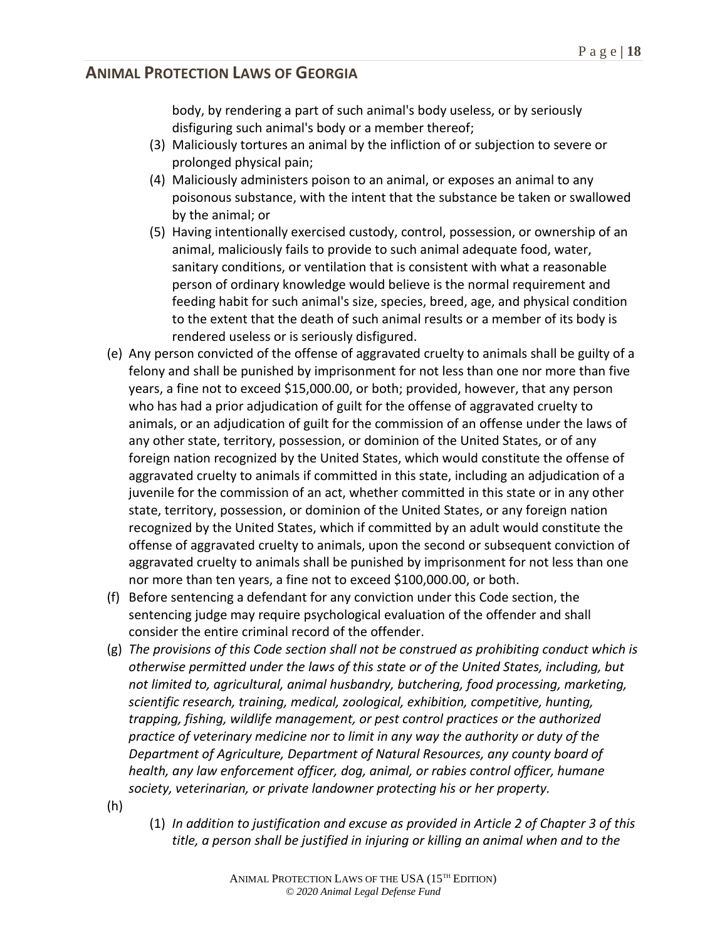body, by rendering a part of such animal's body useless, or by seriously disfiguring such animal's body or a member thereof;

- (3) Maliciously tortures an animal by the infliction of or subjection to severe or prolonged physical pain;
- (4) Maliciously administers poison to an animal, or exposes an animal to any poisonous substance, with the intent that the substance be taken or swallowed by the animal; or
- (5) Having intentionally exercised custody, control, possession, or ownership of an animal, maliciously fails to provide to such animal adequate food, water, sanitary conditions, or ventilation that is consistent with what a reasonable person of ordinary knowledge would believe is the normal requirement and feeding habit for such animal's size, species, breed, age, and physical condition to the extent that the death of such animal results or a member of its body is rendered useless or is seriously disfigured.
- (e) Any person convicted of the offense of aggravated cruelty to animals shall be guilty of a felony and shall be punished by imprisonment for not less than one nor more than five years, a fine not to exceed \$15,000.00, or both; provided, however, that any person who has had a prior adjudication of guilt for the offense of aggravated cruelty to animals, or an adjudication of guilt for the commission of an offense under the laws of any other state, territory, possession, or dominion of the United States, or of any foreign nation recognized by the United States, which would constitute the offense of aggravated cruelty to animals if committed in this state, including an adjudication of a juvenile for the commission of an act, whether committed in this state or in any other state, territory, possession, or dominion of the United States, or any foreign nation recognized by the United States, which if committed by an adult would constitute the offense of aggravated cruelty to animals, upon the second or subsequent conviction of aggravated cruelty to animals shall be punished by imprisonment for not less than one nor more than ten years, a fine not to exceed \$100,000.00, or both.
- (f) Before sentencing a defendant for any conviction under this Code section, the sentencing judge may require psychological evaluation of the offender and shall consider the entire criminal record of the offender.
- (g) *The provisions of this Code section shall not be construed as prohibiting conduct which is otherwise permitted under the laws of this state or of the United States, including, but not limited to, agricultural, animal husbandry, butchering, food processing, marketing, scientific research, training, medical, zoological, exhibition, competitive, hunting, trapping, fishing, wildlife management, or pest control practices or the authorized practice of veterinary medicine nor to limit in any way the authority or duty of the Department of Agriculture, Department of Natural Resources, any county board of health, any law enforcement officer, dog, animal, or rabies control officer, humane society, veterinarian, or private landowner protecting his or her property.*
- (h)
- (1) *In addition to justification and excuse as provided in Article 2 of Chapter 3 of this title, a person shall be justified in injuring or killing an animal when and to the*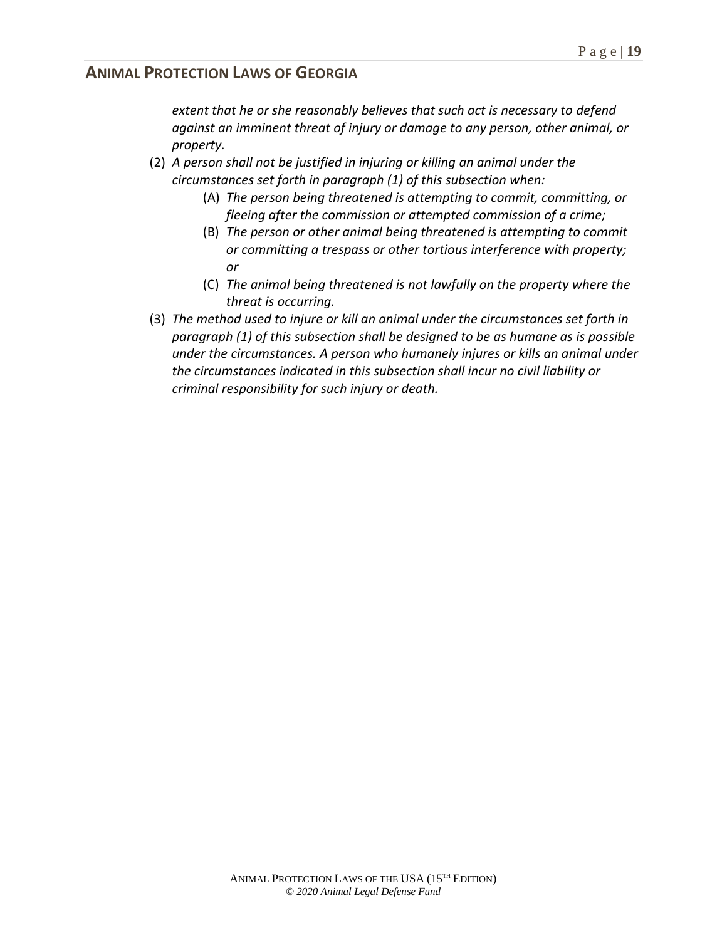*extent that he or she reasonably believes that such act is necessary to defend against an imminent threat of injury or damage to any person, other animal, or property.*

- (2) *A person shall not be justified in injuring or killing an animal under the circumstances set forth in paragraph (1) of this subsection when:*
	- (A) *The person being threatened is attempting to commit, committing, or fleeing after the commission or attempted commission of a crime;*
	- (B) *The person or other animal being threatened is attempting to commit or committing a trespass or other tortious interference with property; or*
	- (C) *The animal being threatened is not lawfully on the property where the threat is occurring.*
- (3) *The method used to injure or kill an animal under the circumstances set forth in paragraph (1) of this subsection shall be designed to be as humane as is possible under the circumstances. A person who humanely injures or kills an animal under the circumstances indicated in this subsection shall incur no civil liability or criminal responsibility for such injury or death.*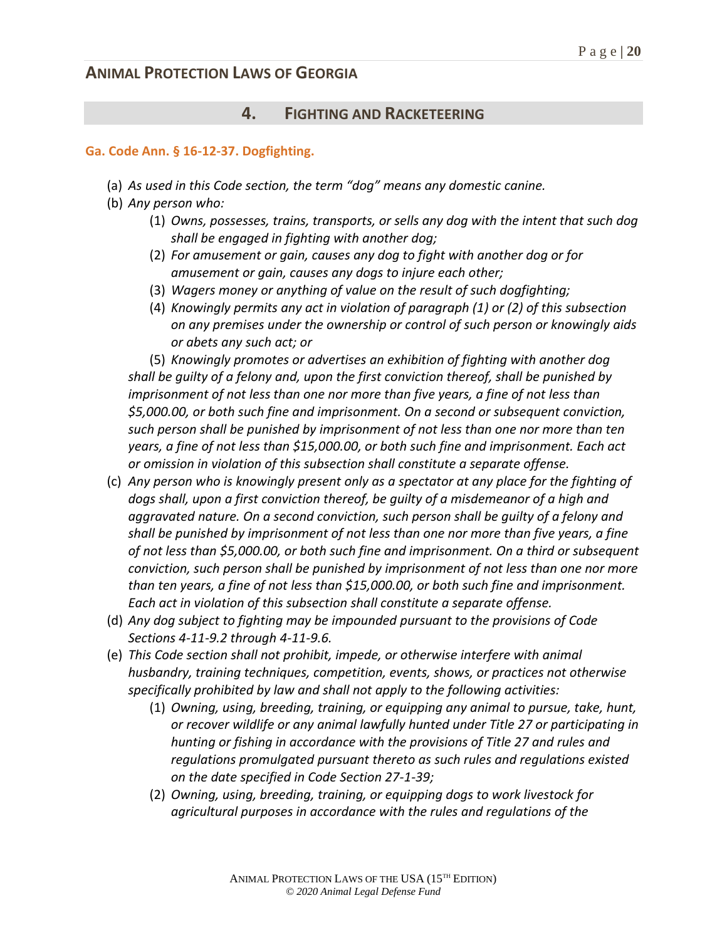### **4. FIGHTING AND RACKETEERING**

#### **Ga. Code Ann. § 16-12-37. Dogfighting.**

- (a) *As used in this Code section, the term "dog" means any domestic canine.*
- (b) *Any person who:*
	- (1) *Owns, possesses, trains, transports, or sells any dog with the intent that such dog shall be engaged in fighting with another dog;*
	- (2) *For amusement or gain, causes any dog to fight with another dog or for amusement or gain, causes any dogs to injure each other;*
	- (3) *Wagers money or anything of value on the result of such dogfighting;*
	- (4) *Knowingly permits any act in violation of paragraph (1) or (2) of this subsection on any premises under the ownership or control of such person or knowingly aids or abets any such act; or*

(5) *Knowingly promotes or advertises an exhibition of fighting with another dog shall be guilty of a felony and, upon the first conviction thereof, shall be punished by imprisonment of not less than one nor more than five years, a fine of not less than \$5,000.00, or both such fine and imprisonment. On a second or subsequent conviction, such person shall be punished by imprisonment of not less than one nor more than ten years, a fine of not less than \$15,000.00, or both such fine and imprisonment. Each act or omission in violation of this subsection shall constitute a separate offense.*

- (c) *Any person who is knowingly present only as a spectator at any place for the fighting of dogs shall, upon a first conviction thereof, be guilty of a misdemeanor of a high and aggravated nature. On a second conviction, such person shall be guilty of a felony and shall be punished by imprisonment of not less than one nor more than five years, a fine of not less than \$5,000.00, or both such fine and imprisonment. On a third or subsequent conviction, such person shall be punished by imprisonment of not less than one nor more than ten years, a fine of not less than \$15,000.00, or both such fine and imprisonment. Each act in violation of this subsection shall constitute a separate offense.*
- (d) *Any dog subject to fighting may be impounded pursuant to the provisions of Code Sections 4-11-9.2 through 4-11-9.6.*
- (e) *This Code section shall not prohibit, impede, or otherwise interfere with animal husbandry, training techniques, competition, events, shows, or practices not otherwise specifically prohibited by law and shall not apply to the following activities:*
	- (1) *Owning, using, breeding, training, or equipping any animal to pursue, take, hunt, or recover wildlife or any animal lawfully hunted under Title 27 or participating in hunting or fishing in accordance with the provisions of Title 27 and rules and regulations promulgated pursuant thereto as such rules and regulations existed on the date specified in Code Section 27-1-39;*
	- (2) *Owning, using, breeding, training, or equipping dogs to work livestock for agricultural purposes in accordance with the rules and regulations of the*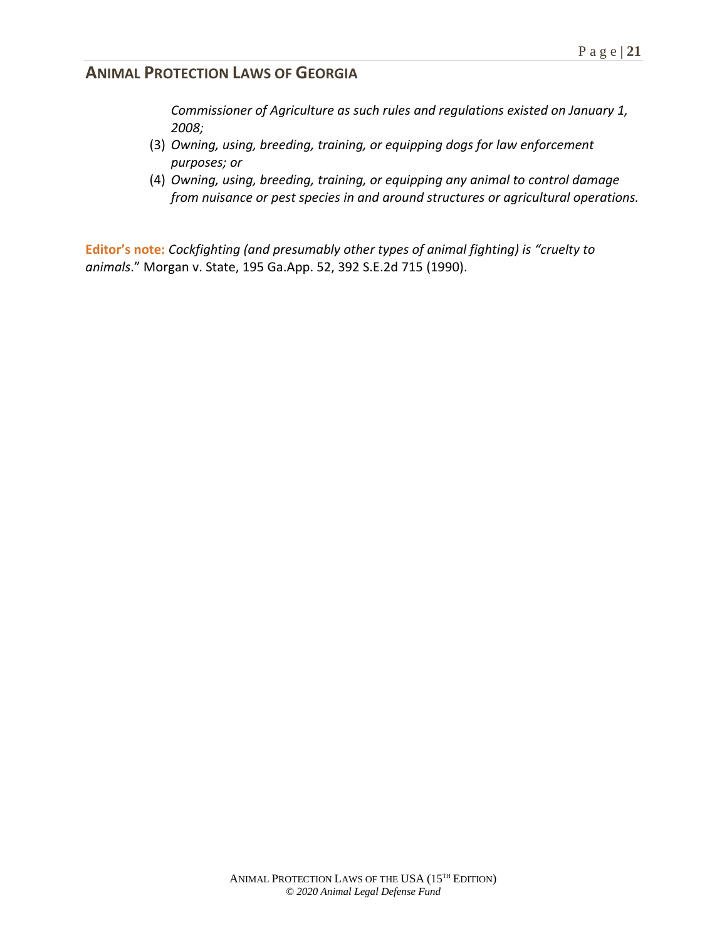*Commissioner of Agriculture as such rules and regulations existed on January 1, 2008;*

- (3) *Owning, using, breeding, training, or equipping dogs for law enforcement purposes; or*
- (4) *Owning, using, breeding, training, or equipping any animal to control damage from nuisance or pest species in and around structures or agricultural operations.*

**Editor's note:** *Cockfighting (and presumably other types of animal fighting) is "cruelty to animals*." Morgan v. State, 195 Ga.App. 52, 392 S.E.2d 715 (1990).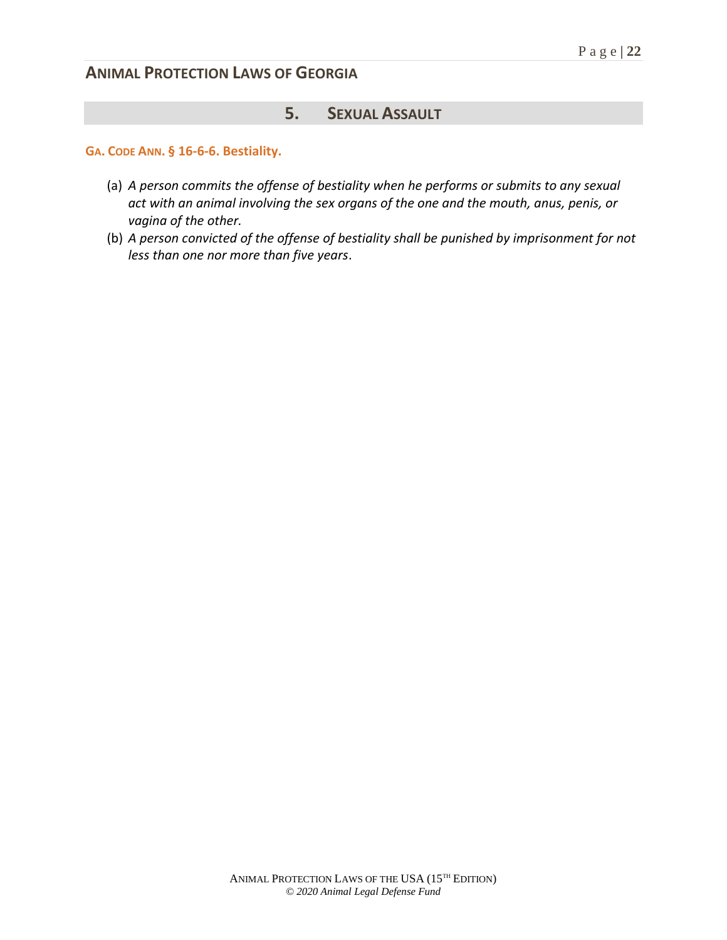## **5. SEXUAL ASSAULT**

**GA. CODE ANN. § 16-6-6. Bestiality.**

- (a) *A person commits the offense of bestiality when he performs or submits to any sexual act with an animal involving the sex organs of the one and the mouth, anus, penis, or vagina of the other.*
- (b) *A person convicted of the offense of bestiality shall be punished by imprisonment for not less than one nor more than five years*.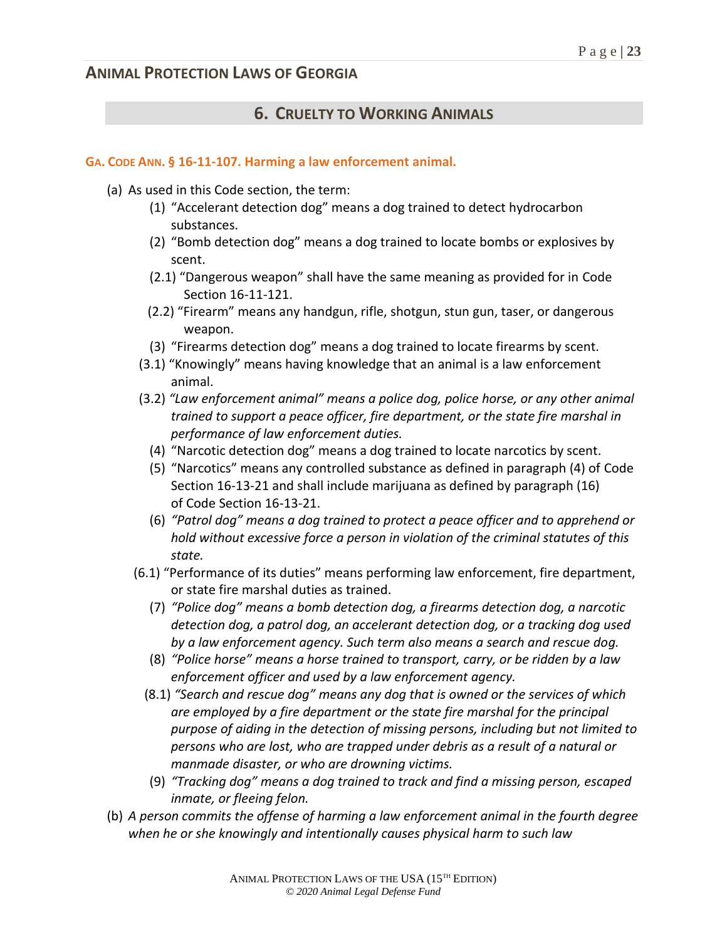## **6. CRUELTY TO WORKING ANIMALS**

#### **GA. CODE ANN. § 16-11-107. Harming a law enforcement animal.**

- (a) As used in this Code section, the term:
	- (1) "Accelerant detection dog" means a dog trained to detect hydrocarbon substances.
	- (2) "Bomb detection dog" means a dog trained to locate bombs or explosives by scent.
	- (2.1) "Dangerous weapon" shall have the same meaning as provided for in Code Section 16-11-121.
	- (2.2) "Firearm" means any handgun, rifle, shotgun, stun gun, taser, or dangerous weapon.
	- (3) "Firearms detection dog" means a dog trained to locate firearms by scent.
	- (3.1) "Knowingly" means having knowledge that an animal is a law enforcement animal.
	- (3.2) *"Law enforcement animal" means a police dog, police horse, or any other animal trained to support a peace officer, fire department, or the state fire marshal in performance of law enforcement duties.*
		- (4) "Narcotic detection dog" means a dog trained to locate narcotics by scent.
		- (5) "Narcotics" means any controlled substance as defined in paragraph (4) of Code Section 16-13-21 and shall include marijuana as defined by paragraph (16) of Code Section 16-13-21.
		- (6) *"Patrol dog" means a dog trained to protect a peace officer and to apprehend or hold without excessive force a person in violation of the criminal statutes of this state.*
	- (6.1) "Performance of its duties" means performing law enforcement, fire department, or state fire marshal duties as trained.
		- (7) *"Police dog" means a bomb detection dog, a firearms detection dog, a narcotic detection dog, a patrol dog, an accelerant detection dog, or a tracking dog used by a law enforcement agency. Such term also means a search and rescue dog.*
		- (8) *"Police horse" means a horse trained to transport, carry, or be ridden by a law enforcement officer and used by a law enforcement agency.*
		- (8.1) *"Search and rescue dog" means any dog that is owned or the services of which are employed by a fire department or the state fire marshal for the principal purpose of aiding in the detection of missing persons, including but not limited to persons who are lost, who are trapped under debris as a result of a natural or manmade disaster, or who are drowning victims.*
		- (9) *"Tracking dog" means a dog trained to track and find a missing person, escaped inmate, or fleeing felon.*
- (b) *A person commits the offense of harming a law enforcement animal in the fourth degree when he or she knowingly and intentionally causes physical harm to such law*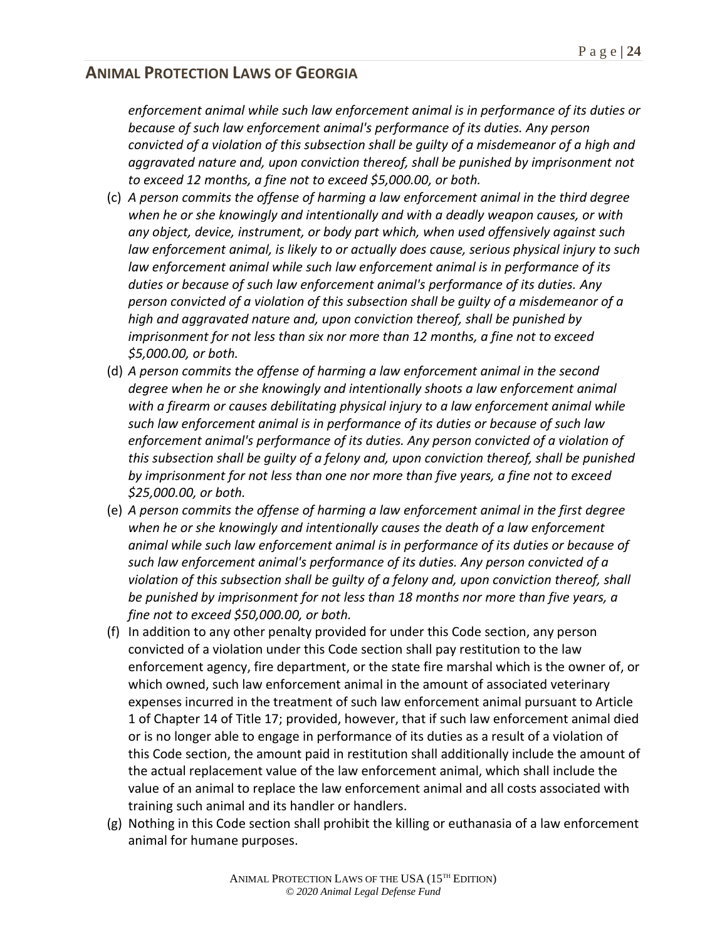*enforcement animal while such law enforcement animal is in performance of its duties or because of such law enforcement animal's performance of its duties. Any person convicted of a violation of this subsection shall be guilty of a misdemeanor of a high and aggravated nature and, upon conviction thereof, shall be punished by imprisonment not to exceed 12 months, a fine not to exceed \$5,000.00, or both.*

- (c) *A person commits the offense of harming a law enforcement animal in the third degree when he or she knowingly and intentionally and with a deadly weapon causes, or with any object, device, instrument, or body part which, when used offensively against such law enforcement animal, is likely to or actually does cause, serious physical injury to such law enforcement animal while such law enforcement animal is in performance of its duties or because of such law enforcement animal's performance of its duties. Any person convicted of a violation of this subsection shall be guilty of a misdemeanor of a high and aggravated nature and, upon conviction thereof, shall be punished by imprisonment for not less than six nor more than 12 months, a fine not to exceed \$5,000.00, or both.*
- (d) *A person commits the offense of harming a law enforcement animal in the second degree when he or she knowingly and intentionally shoots a law enforcement animal with a firearm or causes debilitating physical injury to a law enforcement animal while such law enforcement animal is in performance of its duties or because of such law enforcement animal's performance of its duties. Any person convicted of a violation of this subsection shall be guilty of a felony and, upon conviction thereof, shall be punished by imprisonment for not less than one nor more than five years, a fine not to exceed \$25,000.00, or both.*
- (e) *A person commits the offense of harming a law enforcement animal in the first degree when he or she knowingly and intentionally causes the death of a law enforcement animal while such law enforcement animal is in performance of its duties or because of such law enforcement animal's performance of its duties. Any person convicted of a violation of this subsection shall be guilty of a felony and, upon conviction thereof, shall be punished by imprisonment for not less than 18 months nor more than five years, a fine not to exceed \$50,000.00, or both.*
- (f) In addition to any other penalty provided for under this Code section, any person convicted of a violation under this Code section shall pay restitution to the law enforcement agency, fire department, or the state fire marshal which is the owner of, or which owned, such law enforcement animal in the amount of associated veterinary expenses incurred in the treatment of such law enforcement animal pursuant to Article 1 of Chapter 14 of Title 17; provided, however, that if such law enforcement animal died or is no longer able to engage in performance of its duties as a result of a violation of this Code section, the amount paid in restitution shall additionally include the amount of the actual replacement value of the law enforcement animal, which shall include the value of an animal to replace the law enforcement animal and all costs associated with training such animal and its handler or handlers.
- (g) Nothing in this Code section shall prohibit the killing or euthanasia of a law enforcement animal for humane purposes.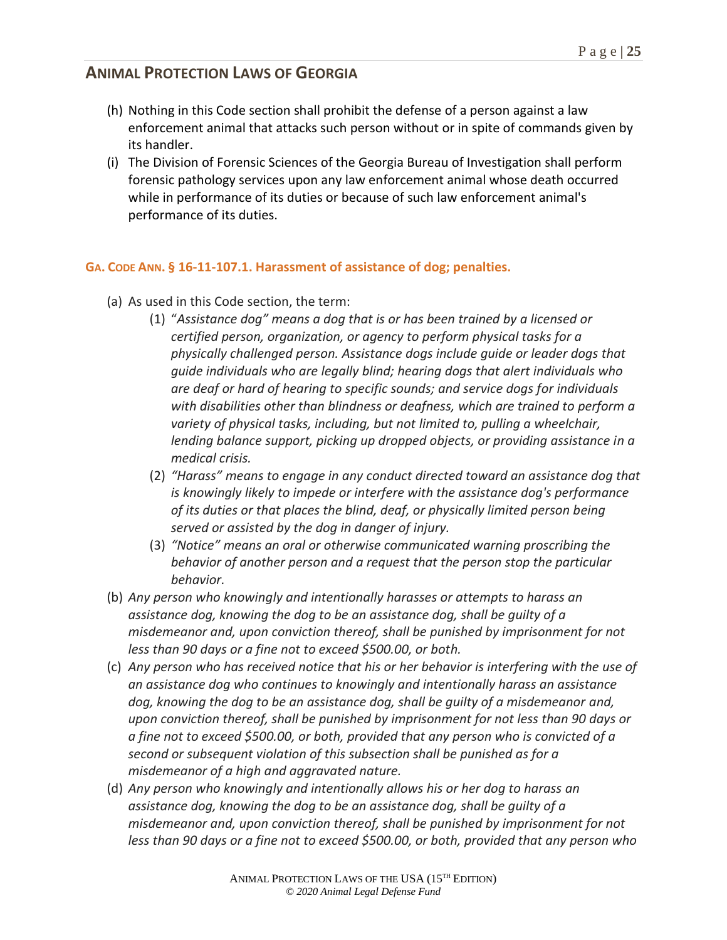- (h) Nothing in this Code section shall prohibit the defense of a person against a law enforcement animal that attacks such person without or in spite of commands given by its handler.
- (i) The Division of Forensic Sciences of the Georgia Bureau of Investigation shall perform forensic pathology services upon any law enforcement animal whose death occurred while in performance of its duties or because of such law enforcement animal's performance of its duties.

### **GA. CODE ANN. § 16-11-107.1. Harassment of assistance of dog; penalties.**

- (a) As used in this Code section, the term:
	- (1) "*Assistance dog" means a dog that is or has been trained by a licensed or certified person, organization, or agency to perform physical tasks for a physically challenged person. Assistance dogs include guide or leader dogs that guide individuals who are legally blind; hearing dogs that alert individuals who are deaf or hard of hearing to specific sounds; and service dogs for individuals with disabilities other than blindness or deafness, which are trained to perform a variety of physical tasks, including, but not limited to, pulling a wheelchair, lending balance support, picking up dropped objects, or providing assistance in a medical crisis.*
	- (2) *"Harass" means to engage in any conduct directed toward an assistance dog that is knowingly likely to impede or interfere with the assistance dog's performance of its duties or that places the blind, deaf, or physically limited person being served or assisted by the dog in danger of injury.*
	- (3) *"Notice" means an oral or otherwise communicated warning proscribing the behavior of another person and a request that the person stop the particular behavior.*
- (b) *Any person who knowingly and intentionally harasses or attempts to harass an assistance dog, knowing the dog to be an assistance dog, shall be guilty of a misdemeanor and, upon conviction thereof, shall be punished by imprisonment for not less than 90 days or a fine not to exceed \$500.00, or both.*
- (c) *Any person who has received notice that his or her behavior is interfering with the use of an assistance dog who continues to knowingly and intentionally harass an assistance dog, knowing the dog to be an assistance dog, shall be guilty of a misdemeanor and, upon conviction thereof, shall be punished by imprisonment for not less than 90 days or a fine not to exceed \$500.00, or both, provided that any person who is convicted of a second or subsequent violation of this subsection shall be punished as for a misdemeanor of a high and aggravated nature.*
- (d) *Any person who knowingly and intentionally allows his or her dog to harass an assistance dog, knowing the dog to be an assistance dog, shall be guilty of a misdemeanor and, upon conviction thereof, shall be punished by imprisonment for not less than 90 days or a fine not to exceed \$500.00, or both, provided that any person who*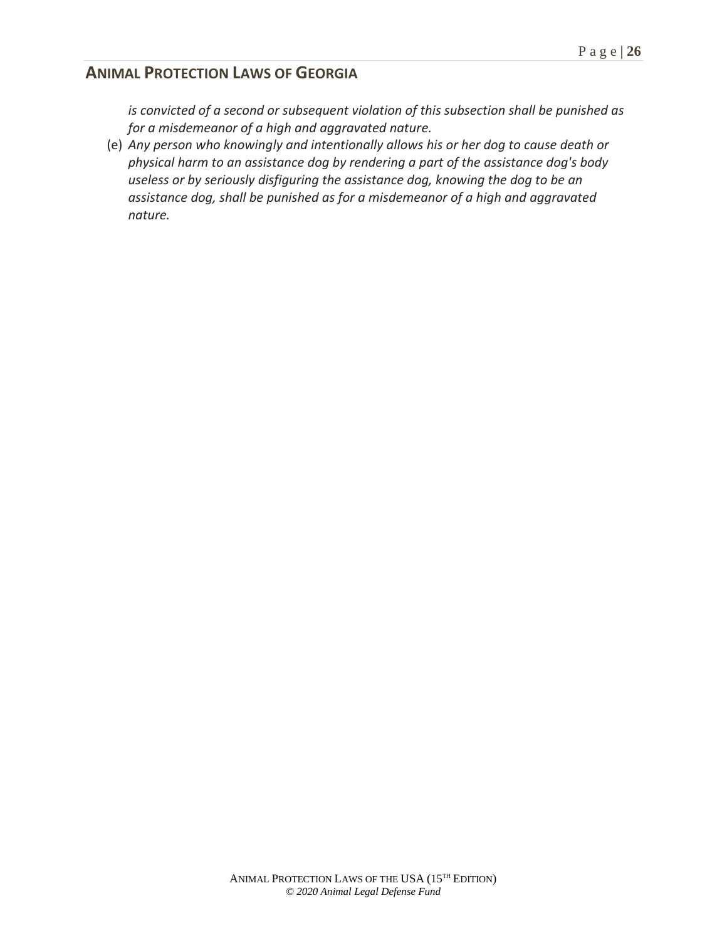*is convicted of a second or subsequent violation of this subsection shall be punished as for a misdemeanor of a high and aggravated nature.*

(e) *Any person who knowingly and intentionally allows his or her dog to cause death or physical harm to an assistance dog by rendering a part of the assistance dog's body useless or by seriously disfiguring the assistance dog, knowing the dog to be an assistance dog, shall be punished as for a misdemeanor of a high and aggravated nature.*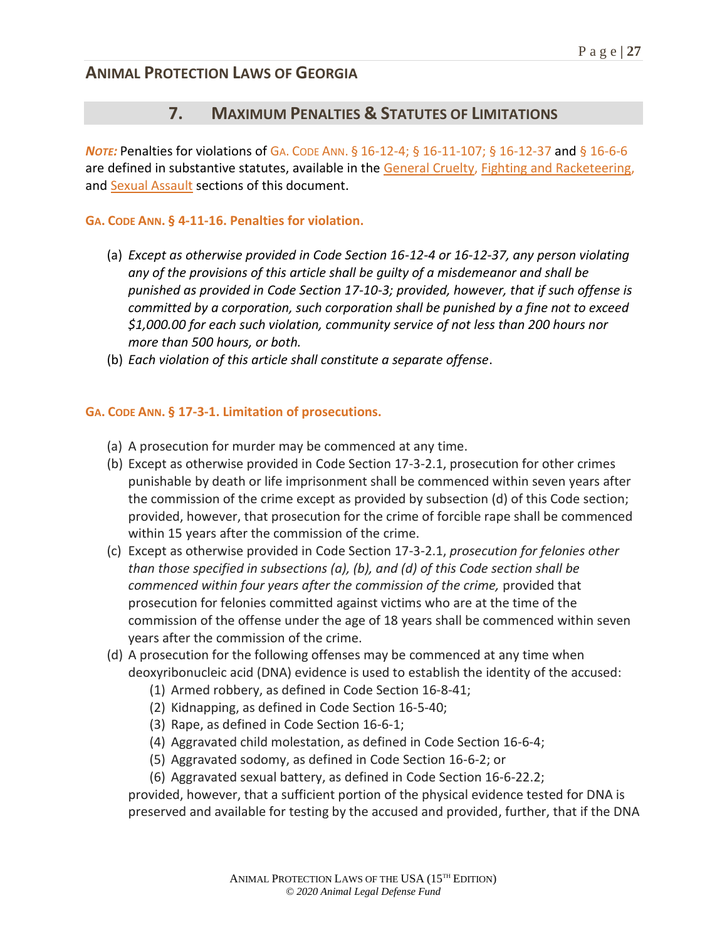## **7. MAXIMUM PENALTIES & STATUTES OF LIMITATIONS**

*Note:* Penalties for violations of GA. CODE ANN. § 16-12-4; § 16-11-107; § 16-12-37 and § 16-6-6 are defined in substantive statutes, available in the General Cruelty, Fighting and Racketeering, and Sexual Assault sections of this document.

#### **GA. CODE ANN. § 4-11-16. Penalties for violation.**

- (a) *Except as otherwise provided in Code Section 16-12-4 or 16-12-37, any person violating any of the provisions of this article shall be guilty of a misdemeanor and shall be punished as provided in Code Section 17-10-3; provided, however, that if such offense is committed by a corporation, such corporation shall be punished by a fine not to exceed \$1,000.00 for each such violation, community service of not less than 200 hours nor more than 500 hours, or both.*
- (b) *Each violation of this article shall constitute a separate offense*.

#### **GA. CODE ANN. § 17-3-1. Limitation of prosecutions.**

- (a) A prosecution for murder may be commenced at any time.
- (b) Except as otherwise provided in Code Section 17-3-2.1, prosecution for other crimes punishable by death or life imprisonment shall be commenced within seven years after the commission of the crime except as provided by subsection (d) of this Code section; provided, however, that prosecution for the crime of forcible rape shall be commenced within 15 years after the commission of the crime.
- (c) Except as otherwise provided in Code Section 17-3-2.1, *prosecution for felonies other than those specified in subsections (a), (b), and (d) of this Code section shall be commenced within four years after the commission of the crime,* provided that prosecution for felonies committed against victims who are at the time of the commission of the offense under the age of 18 years shall be commenced within seven years after the commission of the crime.
- (d) A prosecution for the following offenses may be commenced at any time when deoxyribonucleic acid (DNA) evidence is used to establish the identity of the accused:
	- (1) Armed robbery, as defined in Code Section 16-8-41;
	- (2) Kidnapping, as defined in Code Section 16-5-40;
	- (3) Rape, as defined in Code Section 16-6-1;
	- (4) Aggravated child molestation, as defined in Code Section 16-6-4;
	- (5) Aggravated sodomy, as defined in Code Section 16-6-2; or
	- (6) Aggravated sexual battery, as defined in Code Section 16-6-22.2;

provided, however, that a sufficient portion of the physical evidence tested for DNA is preserved and available for testing by the accused and provided, further, that if the DNA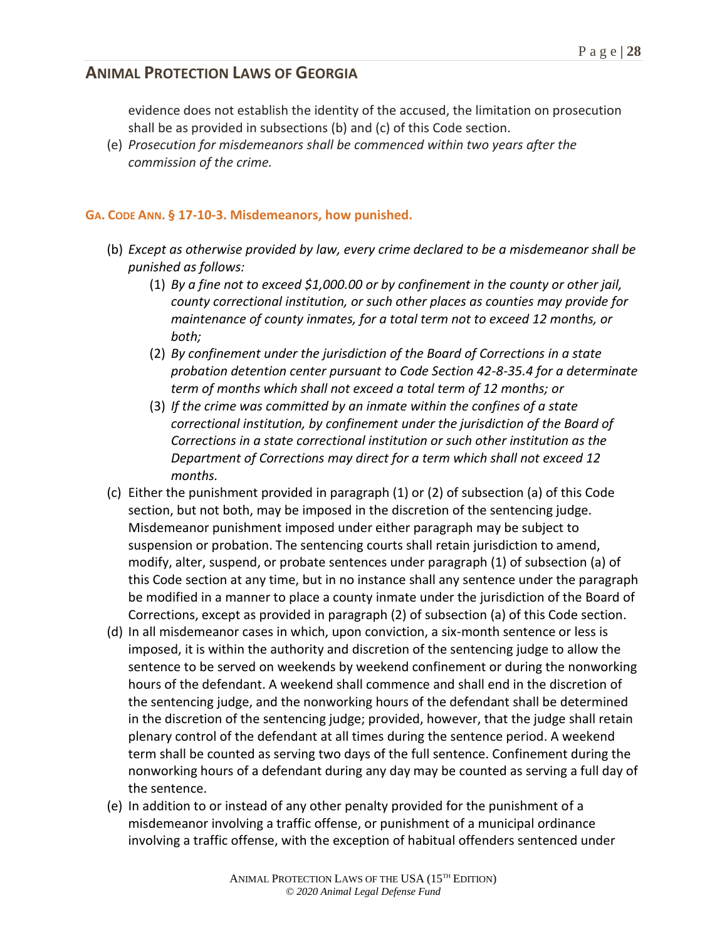evidence does not establish the identity of the accused, the limitation on prosecution shall be as provided in subsections (b) and (c) of this Code section.

(e) *Prosecution for misdemeanors shall be commenced within two years after the commission of the crime.*

#### **GA. CODE ANN. § 17-10-3. Misdemeanors, how punished.**

- (b) *Except as otherwise provided by law, every crime declared to be a misdemeanor shall be punished as follows:*
	- (1) *By a fine not to exceed \$1,000.00 or by confinement in the county or other jail, county correctional institution, or such other places as counties may provide for maintenance of county inmates, for a total term not to exceed 12 months, or both;*
	- (2) *By confinement under the jurisdiction of the Board of Corrections in a state probation detention center pursuant to Code Section 42-8-35.4 for a determinate term of months which shall not exceed a total term of 12 months; or*
	- (3) *If the crime was committed by an inmate within the confines of a state correctional institution, by confinement under the jurisdiction of the Board of Corrections in a state correctional institution or such other institution as the Department of Corrections may direct for a term which shall not exceed 12 months.*
- (c) Either the punishment provided in paragraph (1) or (2) of subsection (a) of this Code section, but not both, may be imposed in the discretion of the sentencing judge. Misdemeanor punishment imposed under either paragraph may be subject to suspension or probation. The sentencing courts shall retain jurisdiction to amend, modify, alter, suspend, or probate sentences under paragraph (1) of subsection (a) of this Code section at any time, but in no instance shall any sentence under the paragraph be modified in a manner to place a county inmate under the jurisdiction of the Board of Corrections, except as provided in paragraph (2) of subsection (a) of this Code section.
- (d) In all misdemeanor cases in which, upon conviction, a six-month sentence or less is imposed, it is within the authority and discretion of the sentencing judge to allow the sentence to be served on weekends by weekend confinement or during the nonworking hours of the defendant. A weekend shall commence and shall end in the discretion of the sentencing judge, and the nonworking hours of the defendant shall be determined in the discretion of the sentencing judge; provided, however, that the judge shall retain plenary control of the defendant at all times during the sentence period. A weekend term shall be counted as serving two days of the full sentence. Confinement during the nonworking hours of a defendant during any day may be counted as serving a full day of the sentence.
- (e) In addition to or instead of any other penalty provided for the punishment of a misdemeanor involving a traffic offense, or punishment of a municipal ordinance involving a traffic offense, with the exception of habitual offenders sentenced under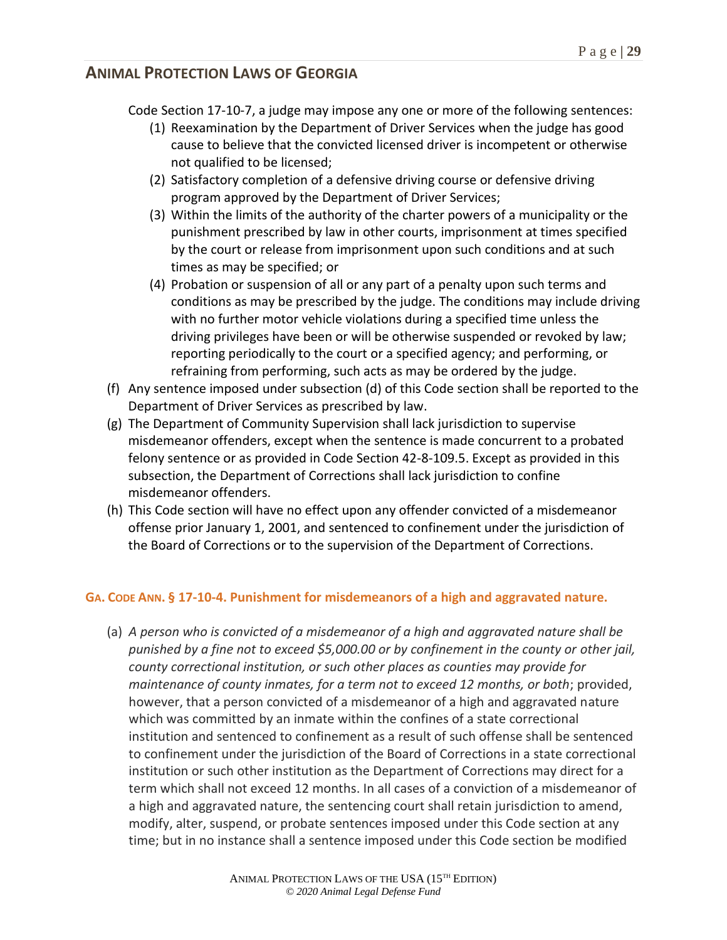Code Section 17-10-7, a judge may impose any one or more of the following sentences:

- (1) Reexamination by the Department of Driver Services when the judge has good cause to believe that the convicted licensed driver is incompetent or otherwise not qualified to be licensed;
- (2) Satisfactory completion of a defensive driving course or defensive driving program approved by the Department of Driver Services;
- (3) Within the limits of the authority of the charter powers of a municipality or the punishment prescribed by law in other courts, imprisonment at times specified by the court or release from imprisonment upon such conditions and at such times as may be specified; or
- (4) Probation or suspension of all or any part of a penalty upon such terms and conditions as may be prescribed by the judge. The conditions may include driving with no further motor vehicle violations during a specified time unless the driving privileges have been or will be otherwise suspended or revoked by law; reporting periodically to the court or a specified agency; and performing, or refraining from performing, such acts as may be ordered by the judge.
- (f) Any sentence imposed under subsection (d) of this Code section shall be reported to the Department of Driver Services as prescribed by law.
- (g) The Department of Community Supervision shall lack jurisdiction to supervise misdemeanor offenders, except when the sentence is made concurrent to a probated felony sentence or as provided in Code Section 42-8-109.5. Except as provided in this subsection, the Department of Corrections shall lack jurisdiction to confine misdemeanor offenders.
- (h) This Code section will have no effect upon any offender convicted of a misdemeanor offense prior January 1, 2001, and sentenced to confinement under the jurisdiction of the Board of Corrections or to the supervision of the Department of Corrections.

### **GA. CODE ANN. § 17-10-4. Punishment for misdemeanors of a high and aggravated nature.**

(a) *A person who is convicted of a misdemeanor of a high and aggravated nature shall be punished by a fine not to exceed \$5,000.00 or by confinement in the county or other jail, county correctional institution, or such other places as counties may provide for maintenance of county inmates, for a term not to exceed 12 months, or both*; provided, however, that a person convicted of a misdemeanor of a high and aggravated nature which was committed by an inmate within the confines of a state correctional institution and sentenced to confinement as a result of such offense shall be sentenced to confinement under the jurisdiction of the Board of Corrections in a state correctional institution or such other institution as the Department of Corrections may direct for a term which shall not exceed 12 months. In all cases of a conviction of a misdemeanor of a high and aggravated nature, the sentencing court shall retain jurisdiction to amend, modify, alter, suspend, or probate sentences imposed under this Code section at any time; but in no instance shall a sentence imposed under this Code section be modified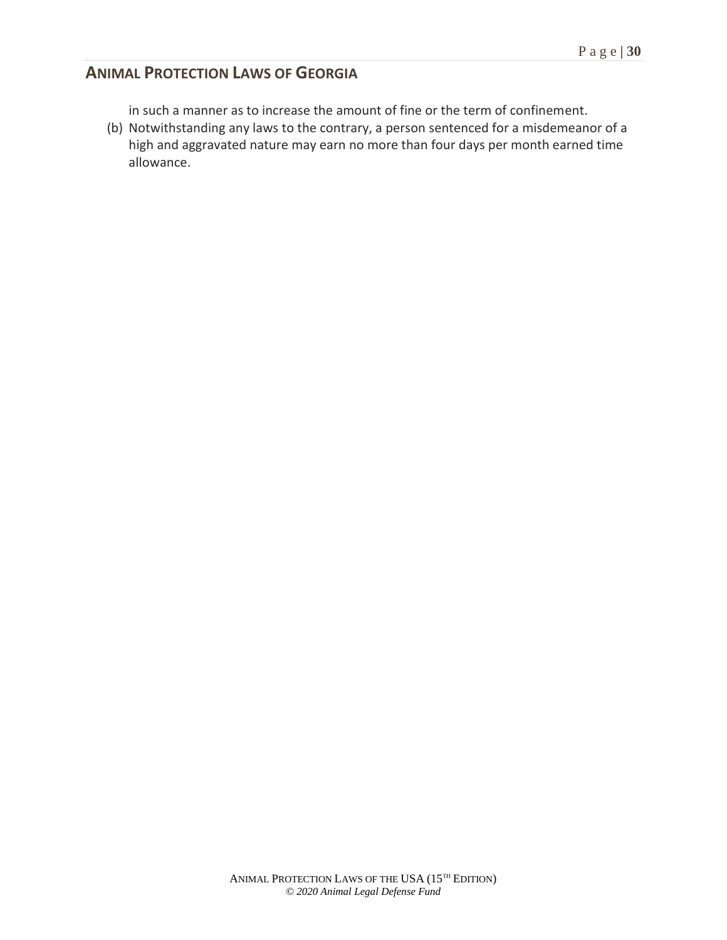- in such a manner as to increase the amount of fine or the term of confinement.
- (b) Notwithstanding any laws to the contrary, a person sentenced for a misdemeanor of a high and aggravated nature may earn no more than four days per month earned time allowance.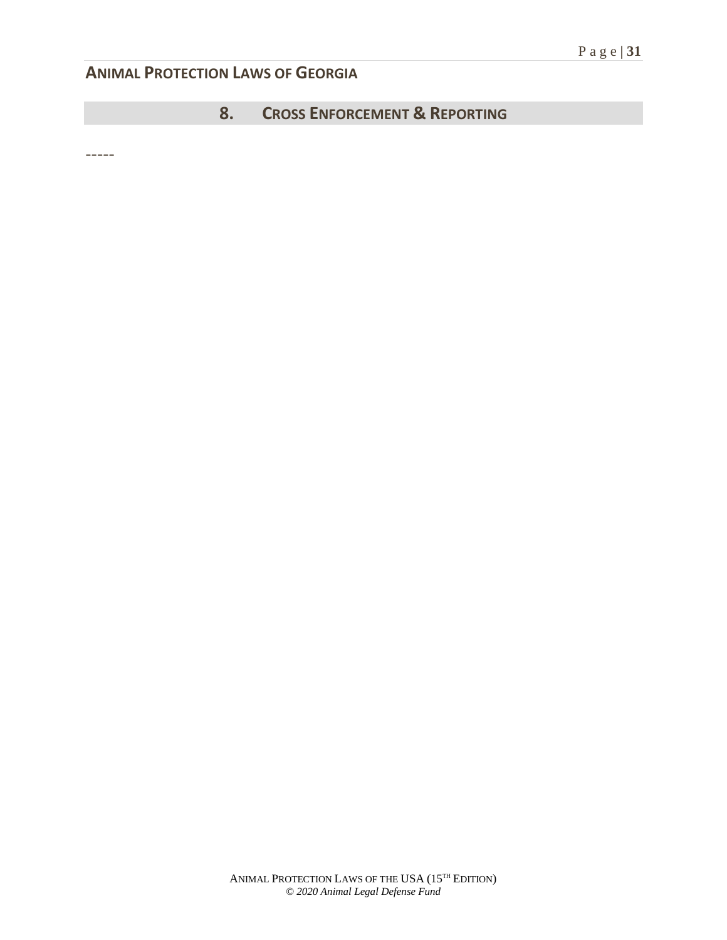## **8. CROSS ENFORCEMENT & REPORTING**

-----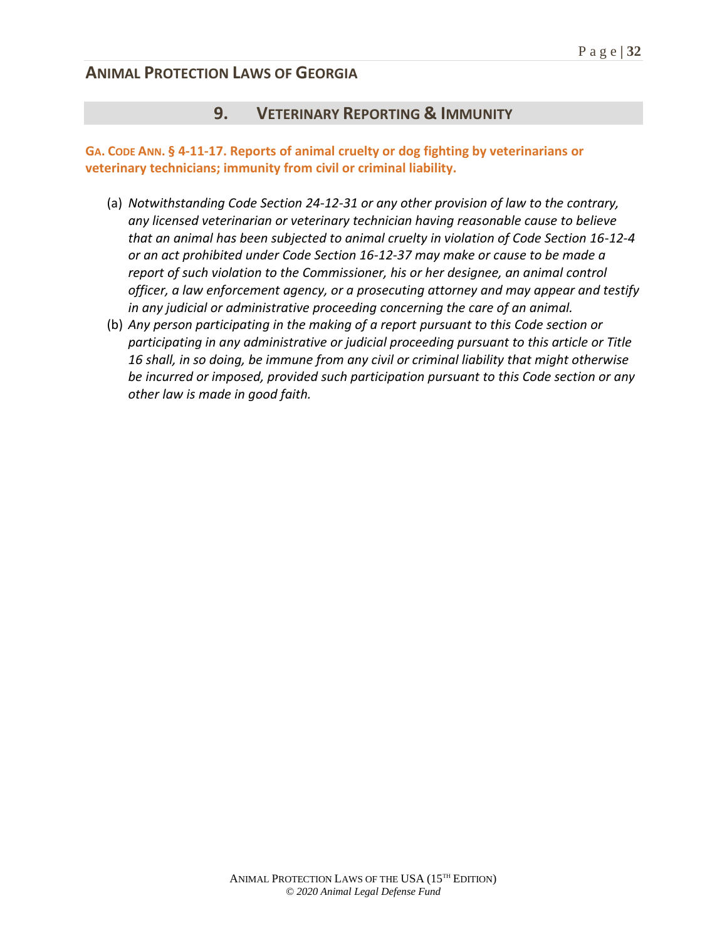### **9. VETERINARY REPORTING & IMMUNITY**

#### **GA. CODE ANN. § 4-11-17. Reports of animal cruelty or dog fighting by veterinarians or veterinary technicians; immunity from civil or criminal liability.**

- (a) *Notwithstanding Code Section 24-12-31 or any other provision of law to the contrary, any licensed veterinarian or veterinary technician having reasonable cause to believe that an animal has been subjected to animal cruelty in violation of Code Section 16-12-4 or an act prohibited under Code Section 16-12-37 may make or cause to be made a report of such violation to the Commissioner, his or her designee, an animal control officer, a law enforcement agency, or a prosecuting attorney and may appear and testify in any judicial or administrative proceeding concerning the care of an animal.*
- (b) *Any person participating in the making of a report pursuant to this Code section or participating in any administrative or judicial proceeding pursuant to this article or Title 16 shall, in so doing, be immune from any civil or criminal liability that might otherwise be incurred or imposed, provided such participation pursuant to this Code section or any other law is made in good faith.*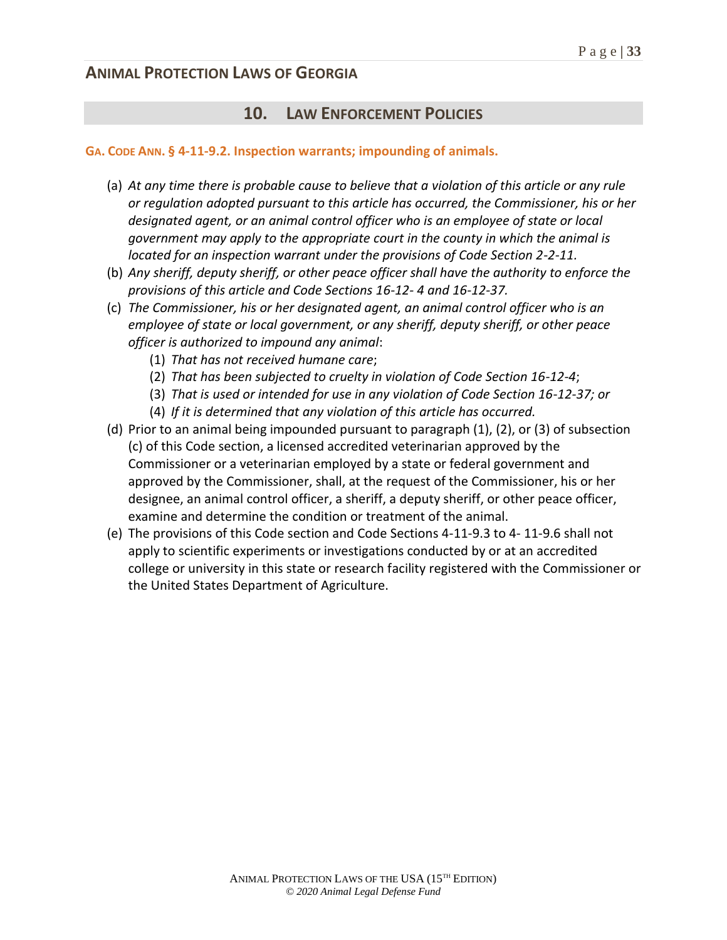### **10. LAW ENFORCEMENT POLICIES**

#### **GA. CODE ANN. § 4-11-9.2. Inspection warrants; impounding of animals.**

- (a) *At any time there is probable cause to believe that a violation of this article or any rule or regulation adopted pursuant to this article has occurred, the Commissioner, his or her designated agent, or an animal control officer who is an employee of state or local government may apply to the appropriate court in the county in which the animal is located for an inspection warrant under the provisions of Code Section 2-2-11.*
- (b) *Any sheriff, deputy sheriff, or other peace officer shall have the authority to enforce the provisions of this article and Code Sections 16-12- 4 and 16-12-37.*
- (c) *The Commissioner, his or her designated agent, an animal control officer who is an employee of state or local government, or any sheriff, deputy sheriff, or other peace officer is authorized to impound any animal*:
	- (1) *That has not received humane care*;
	- (2) *That has been subjected to cruelty in violation of Code Section 16-12-4*;
	- (3) *That is used or intended for use in any violation of Code Section 16-12-37; or*
	- (4) *If it is determined that any violation of this article has occurred.*
- (d) Prior to an animal being impounded pursuant to paragraph (1), (2), or (3) of subsection (c) of this Code section, a licensed accredited veterinarian approved by the Commissioner or a veterinarian employed by a state or federal government and approved by the Commissioner, shall, at the request of the Commissioner, his or her designee, an animal control officer, a sheriff, a deputy sheriff, or other peace officer, examine and determine the condition or treatment of the animal.
- (e) The provisions of this Code section and Code Sections 4-11-9.3 to 4- 11-9.6 shall not apply to scientific experiments or investigations conducted by or at an accredited college or university in this state or research facility registered with the Commissioner or the United States Department of Agriculture.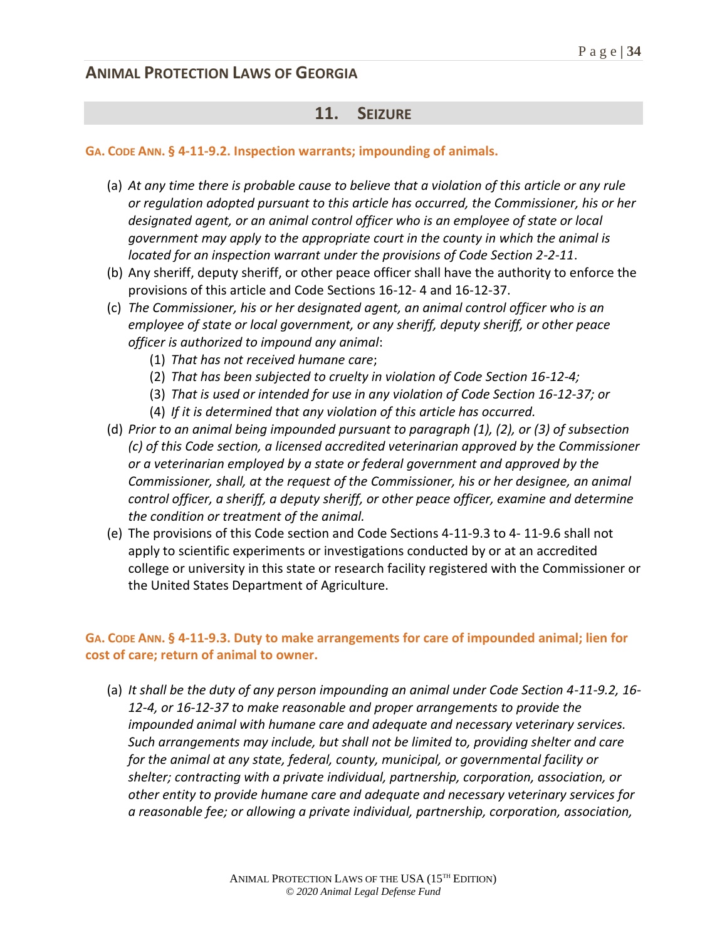## **11. SEIZURE**

#### **GA. CODE ANN. § 4-11-9.2. Inspection warrants; impounding of animals.**

- (a) *At any time there is probable cause to believe that a violation of this article or any rule or regulation adopted pursuant to this article has occurred, the Commissioner, his or her designated agent, or an animal control officer who is an employee of state or local government may apply to the appropriate court in the county in which the animal is located for an inspection warrant under the provisions of Code Section 2-2-11*.
- (b) Any sheriff, deputy sheriff, or other peace officer shall have the authority to enforce the provisions of this article and Code Sections 16-12- 4 and 16-12-37.
- (c) *The Commissioner, his or her designated agent, an animal control officer who is an employee of state or local government, or any sheriff, deputy sheriff, or other peace officer is authorized to impound any animal*:
	- (1) *That has not received humane care*;
	- (2) *That has been subjected to cruelty in violation of Code Section 16-12-4;*
	- (3) *That is used or intended for use in any violation of Code Section 16-12-37; or*
	- (4) *If it is determined that any violation of this article has occurred.*
- (d) *Prior to an animal being impounded pursuant to paragraph (1), (2), or (3) of subsection (c) of this Code section, a licensed accredited veterinarian approved by the Commissioner or a veterinarian employed by a state or federal government and approved by the Commissioner, shall, at the request of the Commissioner, his or her designee, an animal control officer, a sheriff, a deputy sheriff, or other peace officer, examine and determine the condition or treatment of the animal.*
- (e) The provisions of this Code section and Code Sections 4-11-9.3 to 4- 11-9.6 shall not apply to scientific experiments or investigations conducted by or at an accredited college or university in this state or research facility registered with the Commissioner or the United States Department of Agriculture.

#### **GA. CODE ANN. § 4-11-9.3. Duty to make arrangements for care of impounded animal; lien for cost of care; return of animal to owner.**

(a) *It shall be the duty of any person impounding an animal under Code Section 4-11-9.2, 16- 12-4, or 16-12-37 to make reasonable and proper arrangements to provide the impounded animal with humane care and adequate and necessary veterinary services. Such arrangements may include, but shall not be limited to, providing shelter and care for the animal at any state, federal, county, municipal, or governmental facility or shelter; contracting with a private individual, partnership, corporation, association, or other entity to provide humane care and adequate and necessary veterinary services for a reasonable fee; or allowing a private individual, partnership, corporation, association,*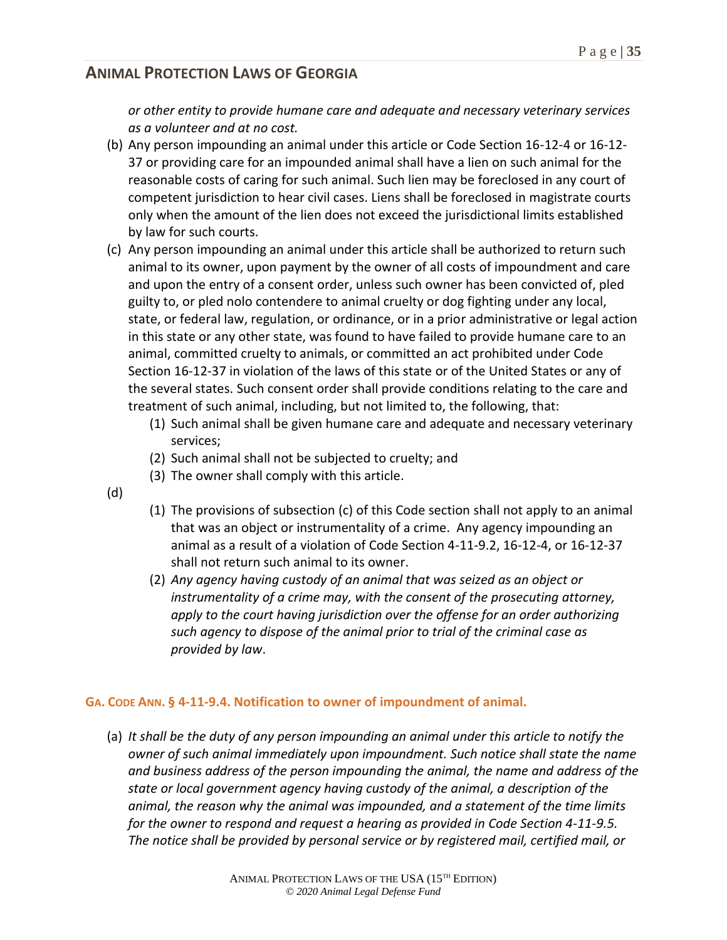*or other entity to provide humane care and adequate and necessary veterinary services as a volunteer and at no cost.*

- (b) Any person impounding an animal under this article or Code Section 16-12-4 or 16-12- 37 or providing care for an impounded animal shall have a lien on such animal for the reasonable costs of caring for such animal. Such lien may be foreclosed in any court of competent jurisdiction to hear civil cases. Liens shall be foreclosed in magistrate courts only when the amount of the lien does not exceed the jurisdictional limits established by law for such courts.
- (c) Any person impounding an animal under this article shall be authorized to return such animal to its owner, upon payment by the owner of all costs of impoundment and care and upon the entry of a consent order, unless such owner has been convicted of, pled guilty to, or pled nolo contendere to animal cruelty or dog fighting under any local, state, or federal law, regulation, or ordinance, or in a prior administrative or legal action in this state or any other state, was found to have failed to provide humane care to an animal, committed cruelty to animals, or committed an act prohibited under Code Section 16-12-37 in violation of the laws of this state or of the United States or any of the several states. Such consent order shall provide conditions relating to the care and treatment of such animal, including, but not limited to, the following, that:
	- (1) Such animal shall be given humane care and adequate and necessary veterinary services;
	- (2) Such animal shall not be subjected to cruelty; and
	- (3) The owner shall comply with this article.
- (d)
- (1) The provisions of subsection (c) of this Code section shall not apply to an animal that was an object or instrumentality of a crime. Any agency impounding an animal as a result of a violation of Code Section 4-11-9.2, 16-12-4, or 16-12-37 shall not return such animal to its owner.
- (2) *Any agency having custody of an animal that was seized as an object or instrumentality of a crime may, with the consent of the prosecuting attorney, apply to the court having jurisdiction over the offense for an order authorizing such agency to dispose of the animal prior to trial of the criminal case as provided by law*.

### **GA. CODE ANN. § 4-11-9.4. Notification to owner of impoundment of animal.**

(a) *It shall be the duty of any person impounding an animal under this article to notify the owner of such animal immediately upon impoundment. Such notice shall state the name and business address of the person impounding the animal, the name and address of the state or local government agency having custody of the animal, a description of the animal, the reason why the animal was impounded, and a statement of the time limits for the owner to respond and request a hearing as provided in Code Section 4-11-9.5. The notice shall be provided by personal service or by registered mail, certified mail, or*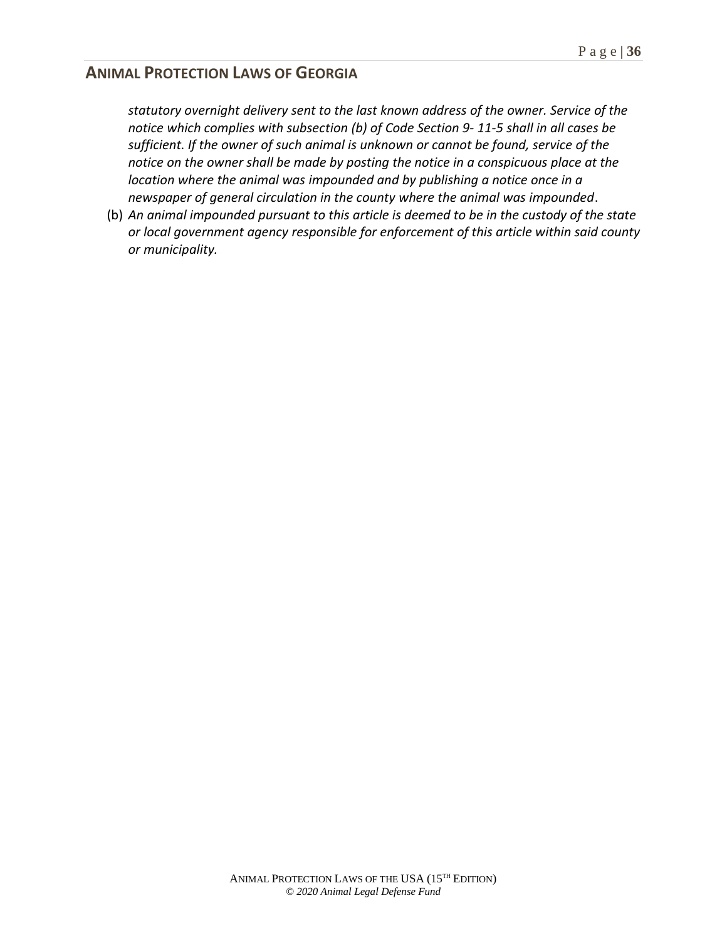*statutory overnight delivery sent to the last known address of the owner. Service of the notice which complies with subsection (b) of Code Section 9- 11-5 shall in all cases be sufficient. If the owner of such animal is unknown or cannot be found, service of the notice on the owner shall be made by posting the notice in a conspicuous place at the location where the animal was impounded and by publishing a notice once in a newspaper of general circulation in the county where the animal was impounded*.

(b) *An animal impounded pursuant to this article is deemed to be in the custody of the state or local government agency responsible for enforcement of this article within said county or municipality.*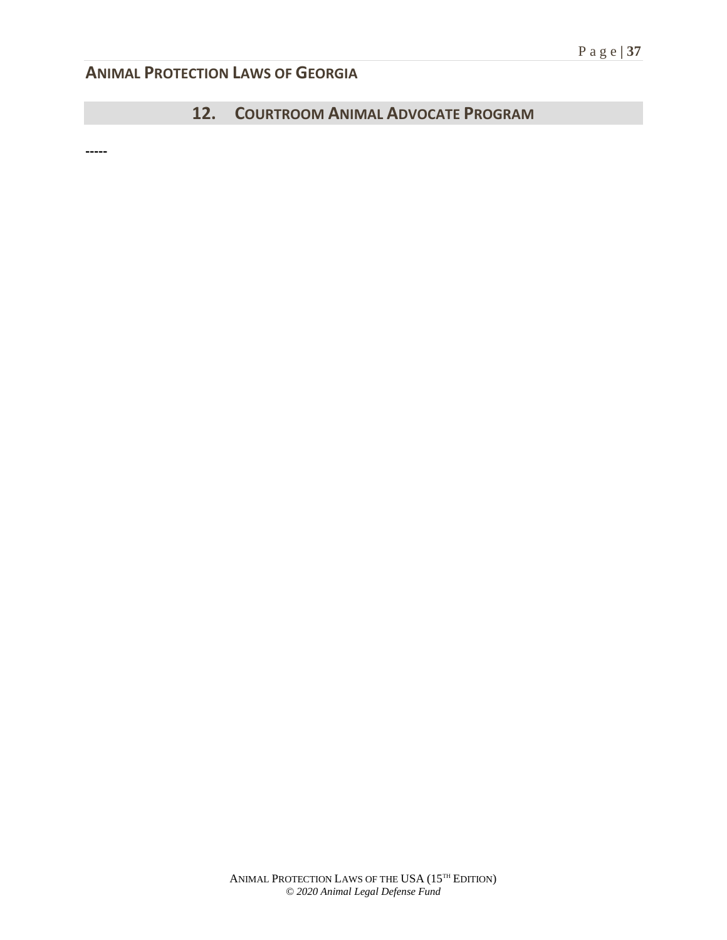## **12. COURTROOM ANIMAL ADVOCATE PROGRAM**

**-----**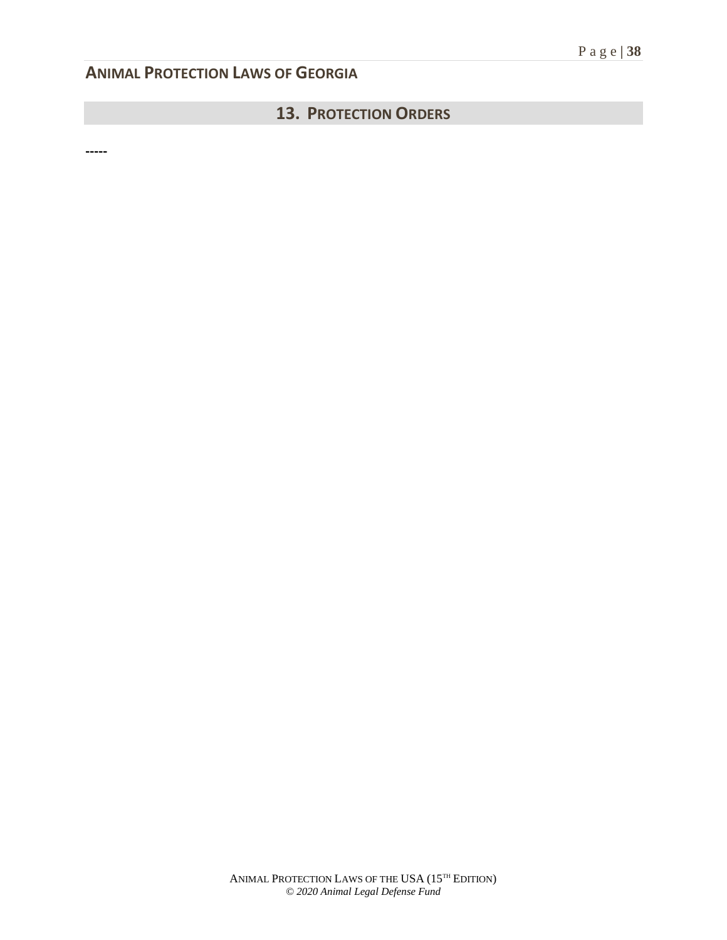## **13. PROTECTION ORDERS**

**-----**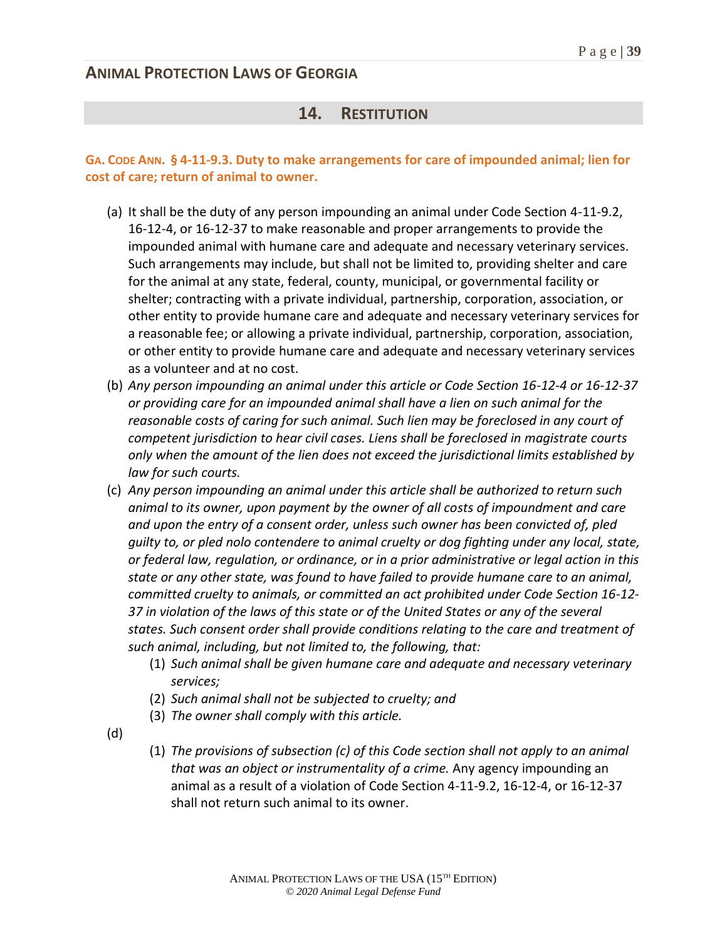## **14. RESTITUTION**

### **GA. CODE ANN. § 4-11-9.3. Duty to make arrangements for care of impounded animal; lien for cost of care; return of animal to owner.**

- (a) It shall be the duty of any person impounding an animal under Code Section 4-11-9.2, 16-12-4, or 16-12-37 to make reasonable and proper arrangements to provide the impounded animal with humane care and adequate and necessary veterinary services. Such arrangements may include, but shall not be limited to, providing shelter and care for the animal at any state, federal, county, municipal, or governmental facility or shelter; contracting with a private individual, partnership, corporation, association, or other entity to provide humane care and adequate and necessary veterinary services for a reasonable fee; or allowing a private individual, partnership, corporation, association, or other entity to provide humane care and adequate and necessary veterinary services as a volunteer and at no cost.
- (b) *Any person impounding an animal under this article or Code Section 16-12-4 or 16-12-37 or providing care for an impounded animal shall have a lien on such animal for the reasonable costs of caring for such animal. Such lien may be foreclosed in any court of competent jurisdiction to hear civil cases. Liens shall be foreclosed in magistrate courts only when the amount of the lien does not exceed the jurisdictional limits established by law for such courts.*
- (c) *Any person impounding an animal under this article shall be authorized to return such animal to its owner, upon payment by the owner of all costs of impoundment and care and upon the entry of a consent order, unless such owner has been convicted of, pled guilty to, or pled nolo contendere to animal cruelty or dog fighting under any local, state, or federal law, regulation, or ordinance, or in a prior administrative or legal action in this state or any other state, was found to have failed to provide humane care to an animal, committed cruelty to animals, or committed an act prohibited under Code Section 16-12- 37 in violation of the laws of this state or of the United States or any of the several states. Such consent order shall provide conditions relating to the care and treatment of such animal, including, but not limited to, the following, that:*
	- (1) *Such animal shall be given humane care and adequate and necessary veterinary services;*
	- (2) *Such animal shall not be subjected to cruelty; and*
	- (3) *The owner shall comply with this article.*
- (d)
- (1) *The provisions of subsection (c) of this Code section shall not apply to an animal that was an object or instrumentality of a crime.* Any agency impounding an animal as a result of a violation of Code Section 4-11-9.2, 16-12-4, or 16-12-37 shall not return such animal to its owner.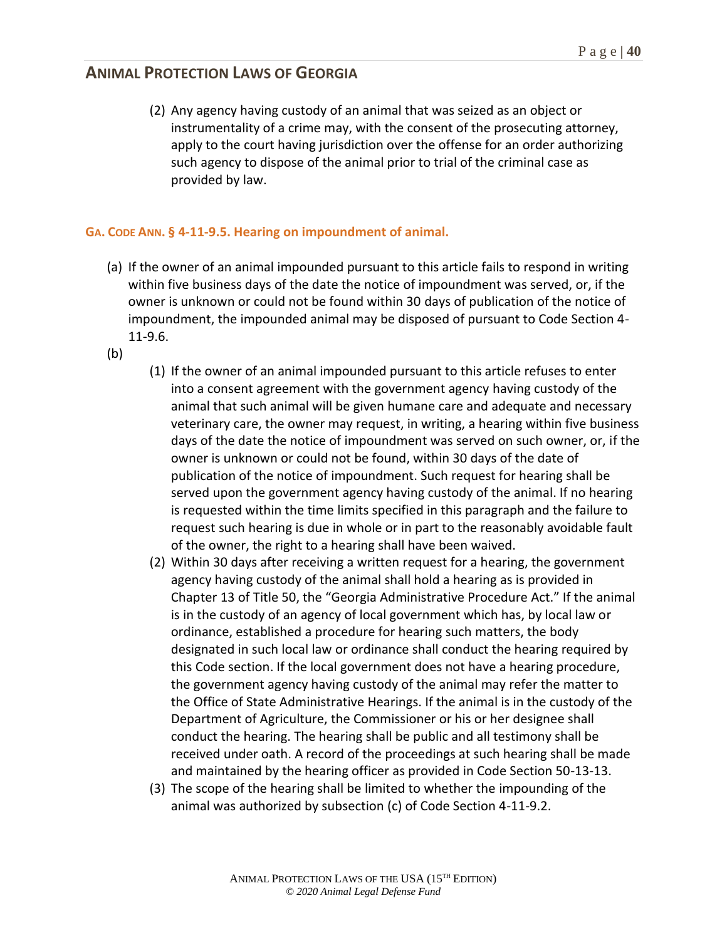(2) Any agency having custody of an animal that was seized as an object or instrumentality of a crime may, with the consent of the prosecuting attorney, apply to the court having jurisdiction over the offense for an order authorizing such agency to dispose of the animal prior to trial of the criminal case as provided by law.

#### **GA. CODE ANN. § 4-11-9.5. Hearing on impoundment of animal.**

- (a) If the owner of an animal impounded pursuant to this article fails to respond in writing within five business days of the date the notice of impoundment was served, or, if the owner is unknown or could not be found within 30 days of publication of the notice of impoundment, the impounded animal may be disposed of pursuant to Code Section 4- 11-9.6.
- (b)
- (1) If the owner of an animal impounded pursuant to this article refuses to enter into a consent agreement with the government agency having custody of the animal that such animal will be given humane care and adequate and necessary veterinary care, the owner may request, in writing, a hearing within five business days of the date the notice of impoundment was served on such owner, or, if the owner is unknown or could not be found, within 30 days of the date of publication of the notice of impoundment. Such request for hearing shall be served upon the government agency having custody of the animal. If no hearing is requested within the time limits specified in this paragraph and the failure to request such hearing is due in whole or in part to the reasonably avoidable fault of the owner, the right to a hearing shall have been waived.
- (2) Within 30 days after receiving a written request for a hearing, the government agency having custody of the animal shall hold a hearing as is provided in Chapter 13 of Title 50, the "Georgia Administrative Procedure Act." If the animal is in the custody of an agency of local government which has, by local law or ordinance, established a procedure for hearing such matters, the body designated in such local law or ordinance shall conduct the hearing required by this Code section. If the local government does not have a hearing procedure, the government agency having custody of the animal may refer the matter to the Office of State Administrative Hearings. If the animal is in the custody of the Department of Agriculture, the Commissioner or his or her designee shall conduct the hearing. The hearing shall be public and all testimony shall be received under oath. A record of the proceedings at such hearing shall be made and maintained by the hearing officer as provided in Code Section 50-13-13.
- (3) The scope of the hearing shall be limited to whether the impounding of the animal was authorized by subsection (c) of Code Section 4-11-9.2.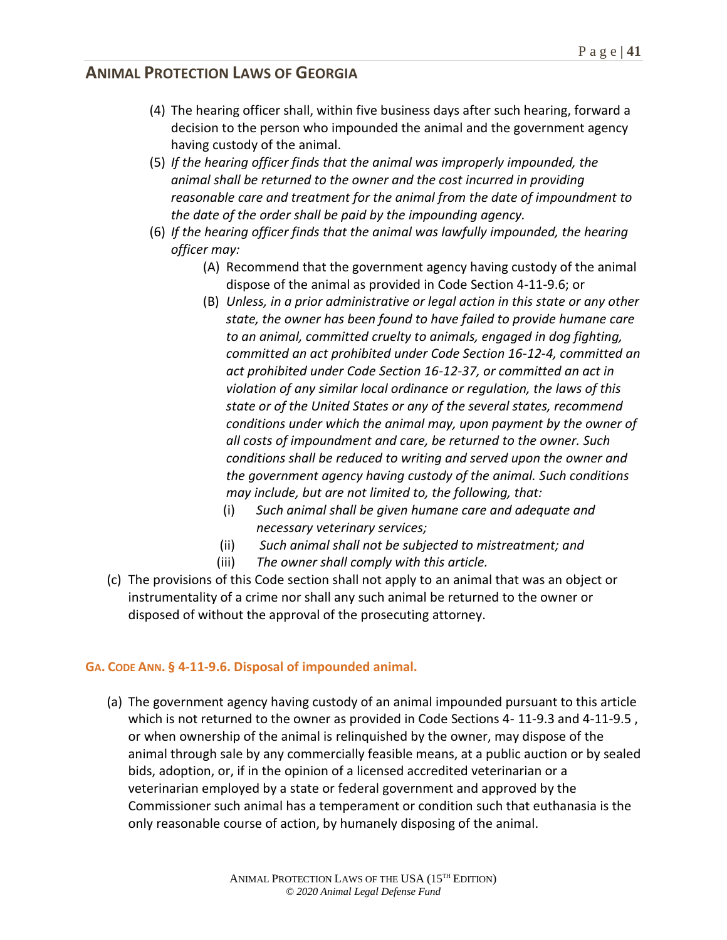- (4) The hearing officer shall, within five business days after such hearing, forward a decision to the person who impounded the animal and the government agency having custody of the animal.
- (5) *If the hearing officer finds that the animal was improperly impounded, the animal shall be returned to the owner and the cost incurred in providing reasonable care and treatment for the animal from the date of impoundment to the date of the order shall be paid by the impounding agency.*
- (6) *If the hearing officer finds that the animal was lawfully impounded, the hearing officer may:*
	- (A) Recommend that the government agency having custody of the animal dispose of the animal as provided in Code Section 4-11-9.6; or
	- (B) *Unless, in a prior administrative or legal action in this state or any other state, the owner has been found to have failed to provide humane care to an animal, committed cruelty to animals, engaged in dog fighting, committed an act prohibited under Code Section 16-12-4, committed an act prohibited under Code Section 16-12-37, or committed an act in violation of any similar local ordinance or regulation, the laws of this state or of the United States or any of the several states, recommend conditions under which the animal may, upon payment by the owner of all costs of impoundment and care, be returned to the owner. Such conditions shall be reduced to writing and served upon the owner and the government agency having custody of the animal. Such conditions may include, but are not limited to, the following, that:*
		- (i) *Such animal shall be given humane care and adequate and necessary veterinary services;*
		- (ii) *Such animal shall not be subjected to mistreatment; and*
		- (iii) *The owner shall comply with this article.*
- (c) The provisions of this Code section shall not apply to an animal that was an object or instrumentality of a crime nor shall any such animal be returned to the owner or disposed of without the approval of the prosecuting attorney.

### **GA. CODE ANN. § 4-11-9.6. Disposal of impounded animal.**

(a) The government agency having custody of an animal impounded pursuant to this article which is not returned to the owner as provided in Code Sections 4- 11-9.3 and 4-11-9.5 , or when ownership of the animal is relinquished by the owner, may dispose of the animal through sale by any commercially feasible means, at a public auction or by sealed bids, adoption, or, if in the opinion of a licensed accredited veterinarian or a veterinarian employed by a state or federal government and approved by the Commissioner such animal has a temperament or condition such that euthanasia is the only reasonable course of action, by humanely disposing of the animal.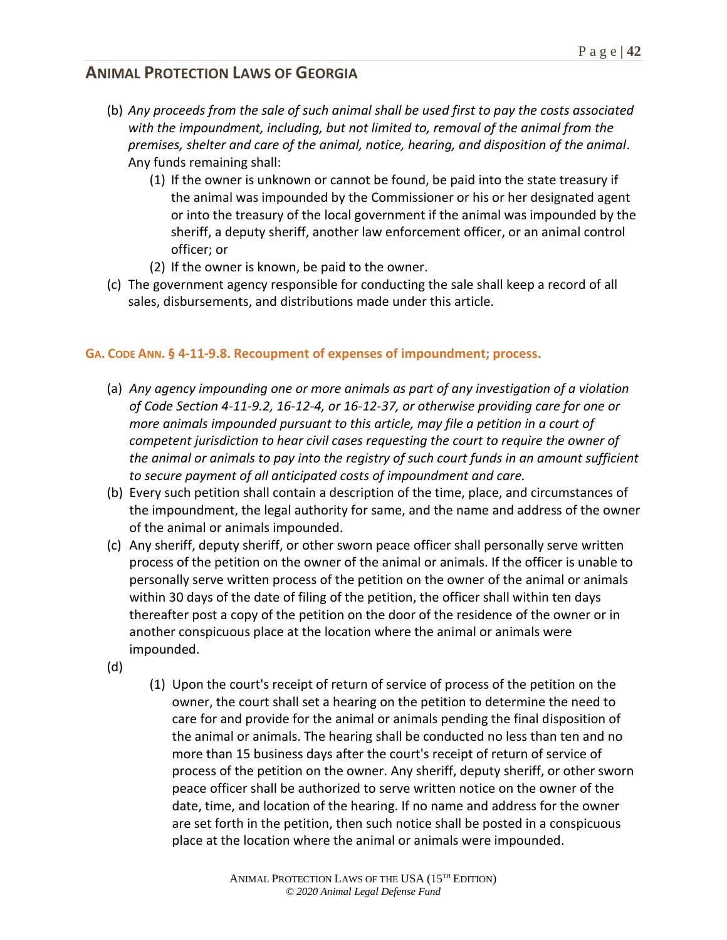- (b) *Any proceeds from the sale of such animal shall be used first to pay the costs associated with the impoundment, including, but not limited to, removal of the animal from the premises, shelter and care of the animal, notice, hearing, and disposition of the animal*. Any funds remaining shall:
	- (1) If the owner is unknown or cannot be found, be paid into the state treasury if the animal was impounded by the Commissioner or his or her designated agent or into the treasury of the local government if the animal was impounded by the sheriff, a deputy sheriff, another law enforcement officer, or an animal control officer; or
	- (2) If the owner is known, be paid to the owner.
- (c) The government agency responsible for conducting the sale shall keep a record of all sales, disbursements, and distributions made under this article.

#### **GA. CODE ANN. § 4-11-9.8. Recoupment of expenses of impoundment; process.**

- (a) *Any agency impounding one or more animals as part of any investigation of a violation of Code Section 4-11-9.2, 16-12-4, or 16-12-37, or otherwise providing care for one or more animals impounded pursuant to this article, may file a petition in a court of competent jurisdiction to hear civil cases requesting the court to require the owner of the animal or animals to pay into the registry of such court funds in an amount sufficient to secure payment of all anticipated costs of impoundment and care.*
- (b) Every such petition shall contain a description of the time, place, and circumstances of the impoundment, the legal authority for same, and the name and address of the owner of the animal or animals impounded.
- (c) Any sheriff, deputy sheriff, or other sworn peace officer shall personally serve written process of the petition on the owner of the animal or animals. If the officer is unable to personally serve written process of the petition on the owner of the animal or animals within 30 days of the date of filing of the petition, the officer shall within ten days thereafter post a copy of the petition on the door of the residence of the owner or in another conspicuous place at the location where the animal or animals were impounded.
- (d)
- (1) Upon the court's receipt of return of service of process of the petition on the owner, the court shall set a hearing on the petition to determine the need to care for and provide for the animal or animals pending the final disposition of the animal or animals. The hearing shall be conducted no less than ten and no more than 15 business days after the court's receipt of return of service of process of the petition on the owner. Any sheriff, deputy sheriff, or other sworn peace officer shall be authorized to serve written notice on the owner of the date, time, and location of the hearing. If no name and address for the owner are set forth in the petition, then such notice shall be posted in a conspicuous place at the location where the animal or animals were impounded.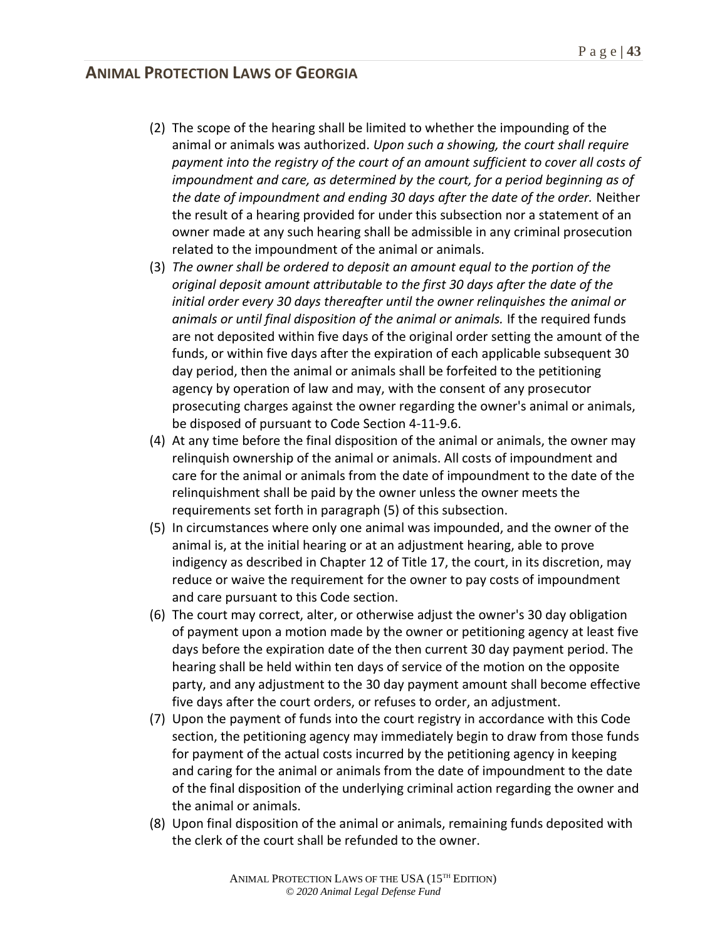- (2) The scope of the hearing shall be limited to whether the impounding of the animal or animals was authorized. *Upon such a showing, the court shall require payment into the registry of the court of an amount sufficient to cover all costs of impoundment and care, as determined by the court, for a period beginning as of the date of impoundment and ending 30 days after the date of the order.* Neither the result of a hearing provided for under this subsection nor a statement of an owner made at any such hearing shall be admissible in any criminal prosecution related to the impoundment of the animal or animals.
- (3) *The owner shall be ordered to deposit an amount equal to the portion of the original deposit amount attributable to the first 30 days after the date of the initial order every 30 days thereafter until the owner relinquishes the animal or animals or until final disposition of the animal or animals.* If the required funds are not deposited within five days of the original order setting the amount of the funds, or within five days after the expiration of each applicable subsequent 30 day period, then the animal or animals shall be forfeited to the petitioning agency by operation of law and may, with the consent of any prosecutor prosecuting charges against the owner regarding the owner's animal or animals, be disposed of pursuant to Code Section 4-11-9.6.
- (4) At any time before the final disposition of the animal or animals, the owner may relinquish ownership of the animal or animals. All costs of impoundment and care for the animal or animals from the date of impoundment to the date of the relinquishment shall be paid by the owner unless the owner meets the requirements set forth in paragraph (5) of this subsection.
- (5) In circumstances where only one animal was impounded, and the owner of the animal is, at the initial hearing or at an adjustment hearing, able to prove indigency as described in Chapter 12 of Title 17, the court, in its discretion, may reduce or waive the requirement for the owner to pay costs of impoundment and care pursuant to this Code section.
- (6) The court may correct, alter, or otherwise adjust the owner's 30 day obligation of payment upon a motion made by the owner or petitioning agency at least five days before the expiration date of the then current 30 day payment period. The hearing shall be held within ten days of service of the motion on the opposite party, and any adjustment to the 30 day payment amount shall become effective five days after the court orders, or refuses to order, an adjustment.
- (7) Upon the payment of funds into the court registry in accordance with this Code section, the petitioning agency may immediately begin to draw from those funds for payment of the actual costs incurred by the petitioning agency in keeping and caring for the animal or animals from the date of impoundment to the date of the final disposition of the underlying criminal action regarding the owner and the animal or animals.
- (8) Upon final disposition of the animal or animals, remaining funds deposited with the clerk of the court shall be refunded to the owner.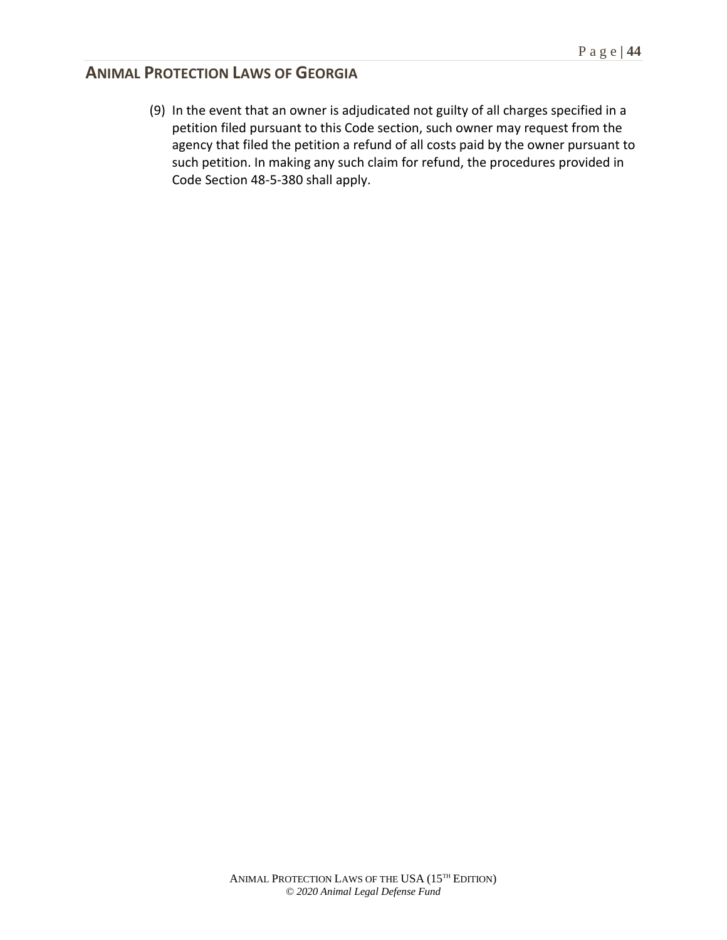(9) In the event that an owner is adjudicated not guilty of all charges specified in a petition filed pursuant to this Code section, such owner may request from the agency that filed the petition a refund of all costs paid by the owner pursuant to such petition. In making any such claim for refund, the procedures provided in Code Section 48-5-380 shall apply.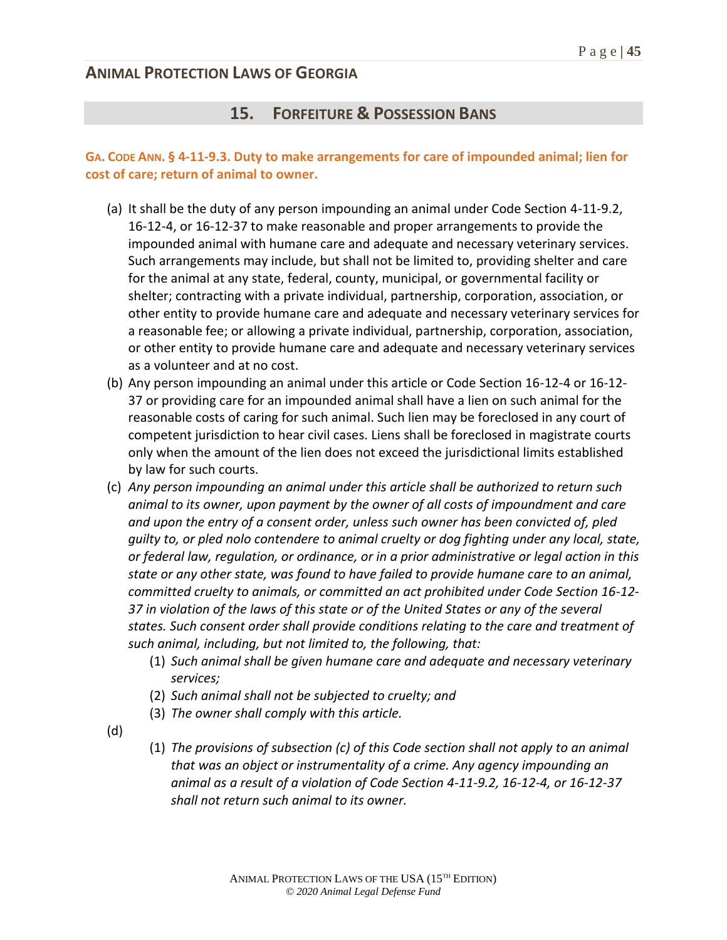## **15. FORFEITURE & POSSESSION BANS**

### **GA. CODE ANN. § 4-11-9.3. Duty to make arrangements for care of impounded animal; lien for cost of care; return of animal to owner.**

- (a) It shall be the duty of any person impounding an animal under Code Section 4-11-9.2, 16-12-4, or 16-12-37 to make reasonable and proper arrangements to provide the impounded animal with humane care and adequate and necessary veterinary services. Such arrangements may include, but shall not be limited to, providing shelter and care for the animal at any state, federal, county, municipal, or governmental facility or shelter; contracting with a private individual, partnership, corporation, association, or other entity to provide humane care and adequate and necessary veterinary services for a reasonable fee; or allowing a private individual, partnership, corporation, association, or other entity to provide humane care and adequate and necessary veterinary services as a volunteer and at no cost.
- (b) Any person impounding an animal under this article or Code Section 16-12-4 or 16-12- 37 or providing care for an impounded animal shall have a lien on such animal for the reasonable costs of caring for such animal. Such lien may be foreclosed in any court of competent jurisdiction to hear civil cases. Liens shall be foreclosed in magistrate courts only when the amount of the lien does not exceed the jurisdictional limits established by law for such courts.
- (c) *Any person impounding an animal under this article shall be authorized to return such animal to its owner, upon payment by the owner of all costs of impoundment and care and upon the entry of a consent order, unless such owner has been convicted of, pled guilty to, or pled nolo contendere to animal cruelty or dog fighting under any local, state, or federal law, regulation, or ordinance, or in a prior administrative or legal action in this state or any other state, was found to have failed to provide humane care to an animal, committed cruelty to animals, or committed an act prohibited under Code Section 16-12- 37 in violation of the laws of this state or of the United States or any of the several states. Such consent order shall provide conditions relating to the care and treatment of such animal, including, but not limited to, the following, that:*
	- (1) *Such animal shall be given humane care and adequate and necessary veterinary services;*
	- (2) *Such animal shall not be subjected to cruelty; and*
	- (3) *The owner shall comply with this article.*
- (d)
- (1) *The provisions of subsection (c) of this Code section shall not apply to an animal that was an object or instrumentality of a crime. Any agency impounding an animal as a result of a violation of Code Section 4-11-9.2, 16-12-4, or 16-12-37 shall not return such animal to its owner.*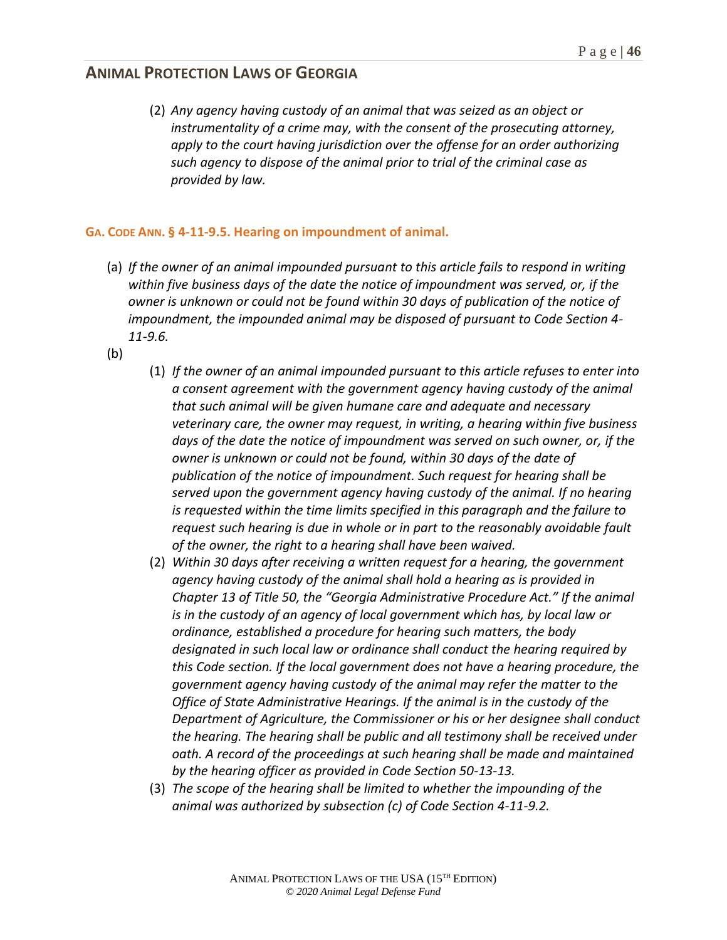(2) *Any agency having custody of an animal that was seized as an object or instrumentality of a crime may, with the consent of the prosecuting attorney, apply to the court having jurisdiction over the offense for an order authorizing such agency to dispose of the animal prior to trial of the criminal case as provided by law.*

#### **GA. CODE ANN. § 4-11-9.5. Hearing on impoundment of animal.**

- (a) *If the owner of an animal impounded pursuant to this article fails to respond in writing within five business days of the date the notice of impoundment was served, or, if the owner is unknown or could not be found within 30 days of publication of the notice of impoundment, the impounded animal may be disposed of pursuant to Code Section 4- 11-9.6.*
- (b)
- (1) *If the owner of an animal impounded pursuant to this article refuses to enter into a consent agreement with the government agency having custody of the animal that such animal will be given humane care and adequate and necessary veterinary care, the owner may request, in writing, a hearing within five business days of the date the notice of impoundment was served on such owner, or, if the owner is unknown or could not be found, within 30 days of the date of publication of the notice of impoundment. Such request for hearing shall be served upon the government agency having custody of the animal. If no hearing is requested within the time limits specified in this paragraph and the failure to request such hearing is due in whole or in part to the reasonably avoidable fault of the owner, the right to a hearing shall have been waived.*
- (2) *Within 30 days after receiving a written request for a hearing, the government agency having custody of the animal shall hold a hearing as is provided in Chapter 13 of Title 50, the "Georgia Administrative Procedure Act." If the animal*  is in the custody of an agency of local government which has, by local law or *ordinance, established a procedure for hearing such matters, the body designated in such local law or ordinance shall conduct the hearing required by this Code section. If the local government does not have a hearing procedure, the government agency having custody of the animal may refer the matter to the Office of State Administrative Hearings. If the animal is in the custody of the Department of Agriculture, the Commissioner or his or her designee shall conduct the hearing. The hearing shall be public and all testimony shall be received under oath. A record of the proceedings at such hearing shall be made and maintained by the hearing officer as provided in Code Section 50-13-13.*
- (3) *The scope of the hearing shall be limited to whether the impounding of the animal was authorized by subsection (c) of Code Section 4-11-9.2.*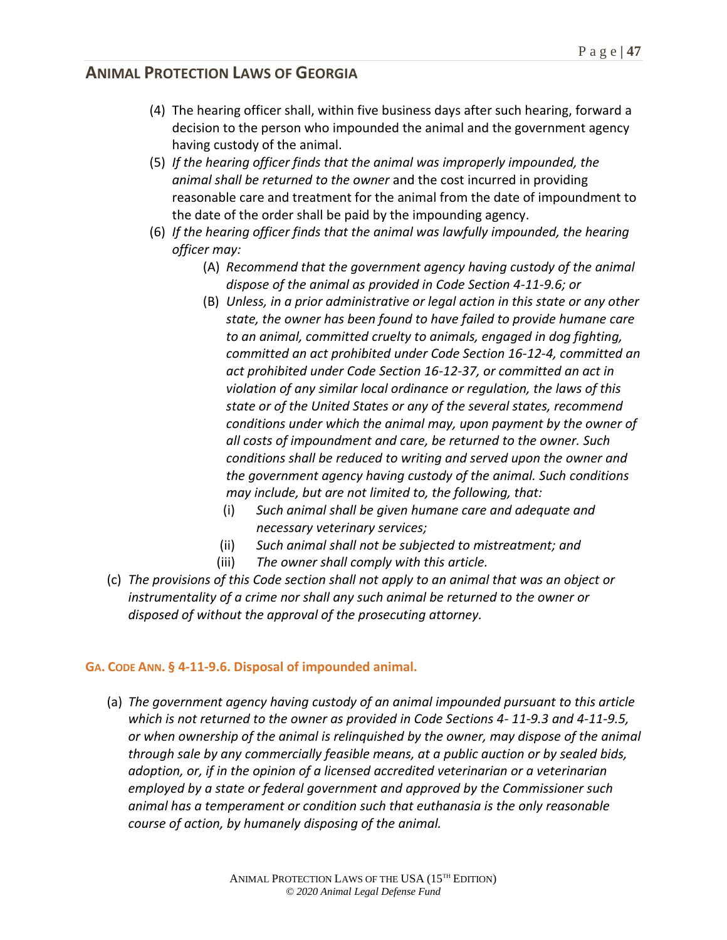- (4) The hearing officer shall, within five business days after such hearing, forward a decision to the person who impounded the animal and the government agency having custody of the animal.
- (5) *If the hearing officer finds that the animal was improperly impounded, the animal shall be returned to the owner* and the cost incurred in providing reasonable care and treatment for the animal from the date of impoundment to the date of the order shall be paid by the impounding agency.
- (6) *If the hearing officer finds that the animal was lawfully impounded, the hearing officer may:*
	- (A) *Recommend that the government agency having custody of the animal dispose of the animal as provided in Code Section 4-11-9.6; or*
	- (B) *Unless, in a prior administrative or legal action in this state or any other state, the owner has been found to have failed to provide humane care to an animal, committed cruelty to animals, engaged in dog fighting, committed an act prohibited under Code Section 16-12-4, committed an act prohibited under Code Section 16-12-37, or committed an act in violation of any similar local ordinance or regulation, the laws of this state or of the United States or any of the several states, recommend conditions under which the animal may, upon payment by the owner of all costs of impoundment and care, be returned to the owner. Such conditions shall be reduced to writing and served upon the owner and the government agency having custody of the animal. Such conditions may include, but are not limited to, the following, that:*
		- (i) *Such animal shall be given humane care and adequate and necessary veterinary services;*
		- (ii) *Such animal shall not be subjected to mistreatment; and*
		- (iii) *The owner shall comply with this article.*
- (c) *The provisions of this Code section shall not apply to an animal that was an object or*  instrumentality of a crime nor shall any such animal be returned to the owner or *disposed of without the approval of the prosecuting attorney.*

### **GA. CODE ANN. § 4-11-9.6. Disposal of impounded animal.**

(a) *The government agency having custody of an animal impounded pursuant to this article which is not returned to the owner as provided in Code Sections 4- 11-9.3 and 4-11-9.5, or when ownership of the animal is relinquished by the owner, may dispose of the animal through sale by any commercially feasible means, at a public auction or by sealed bids, adoption, or, if in the opinion of a licensed accredited veterinarian or a veterinarian employed by a state or federal government and approved by the Commissioner such animal has a temperament or condition such that euthanasia is the only reasonable course of action, by humanely disposing of the animal.*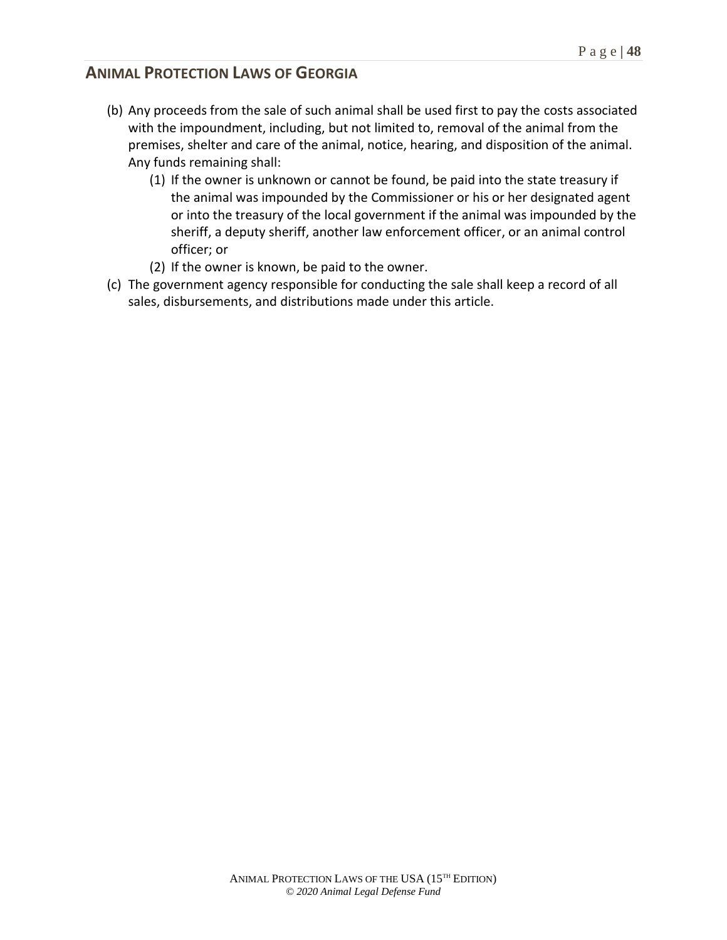- (b) Any proceeds from the sale of such animal shall be used first to pay the costs associated with the impoundment, including, but not limited to, removal of the animal from the premises, shelter and care of the animal, notice, hearing, and disposition of the animal. Any funds remaining shall:
	- (1) If the owner is unknown or cannot be found, be paid into the state treasury if the animal was impounded by the Commissioner or his or her designated agent or into the treasury of the local government if the animal was impounded by the sheriff, a deputy sheriff, another law enforcement officer, or an animal control officer; or
	- (2) If the owner is known, be paid to the owner.
- (c) The government agency responsible for conducting the sale shall keep a record of all sales, disbursements, and distributions made under this article.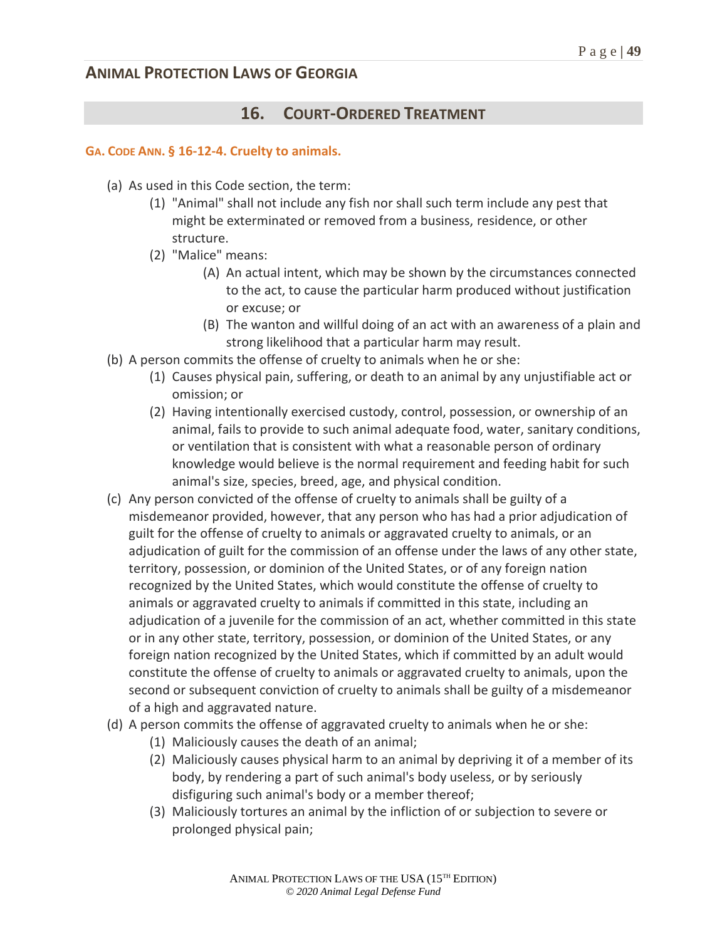## **16. COURT-ORDERED TREATMENT**

#### **GA. CODE ANN. § 16-12-4. Cruelty to animals.**

- (a) As used in this Code section, the term:
	- (1) "Animal" shall not include any fish nor shall such term include any pest that might be exterminated or removed from a business, residence, or other structure.
	- (2) "Malice" means:
		- (A) An actual intent, which may be shown by the circumstances connected to the act, to cause the particular harm produced without justification or excuse; or
		- (B) The wanton and willful doing of an act with an awareness of a plain and strong likelihood that a particular harm may result.
- (b) A person commits the offense of cruelty to animals when he or she:
	- (1) Causes physical pain, suffering, or death to an animal by any unjustifiable act or omission; or
	- (2) Having intentionally exercised custody, control, possession, or ownership of an animal, fails to provide to such animal adequate food, water, sanitary conditions, or ventilation that is consistent with what a reasonable person of ordinary knowledge would believe is the normal requirement and feeding habit for such animal's size, species, breed, age, and physical condition.
- (c) Any person convicted of the offense of cruelty to animals shall be guilty of a misdemeanor provided, however, that any person who has had a prior adjudication of guilt for the offense of cruelty to animals or aggravated cruelty to animals, or an adjudication of guilt for the commission of an offense under the laws of any other state, territory, possession, or dominion of the United States, or of any foreign nation recognized by the United States, which would constitute the offense of cruelty to animals or aggravated cruelty to animals if committed in this state, including an adjudication of a juvenile for the commission of an act, whether committed in this state or in any other state, territory, possession, or dominion of the United States, or any foreign nation recognized by the United States, which if committed by an adult would constitute the offense of cruelty to animals or aggravated cruelty to animals, upon the second or subsequent conviction of cruelty to animals shall be guilty of a misdemeanor of a high and aggravated nature.
- (d) A person commits the offense of aggravated cruelty to animals when he or she:
	- (1) Maliciously causes the death of an animal;
	- (2) Maliciously causes physical harm to an animal by depriving it of a member of its body, by rendering a part of such animal's body useless, or by seriously disfiguring such animal's body or a member thereof;
	- (3) Maliciously tortures an animal by the infliction of or subjection to severe or prolonged physical pain;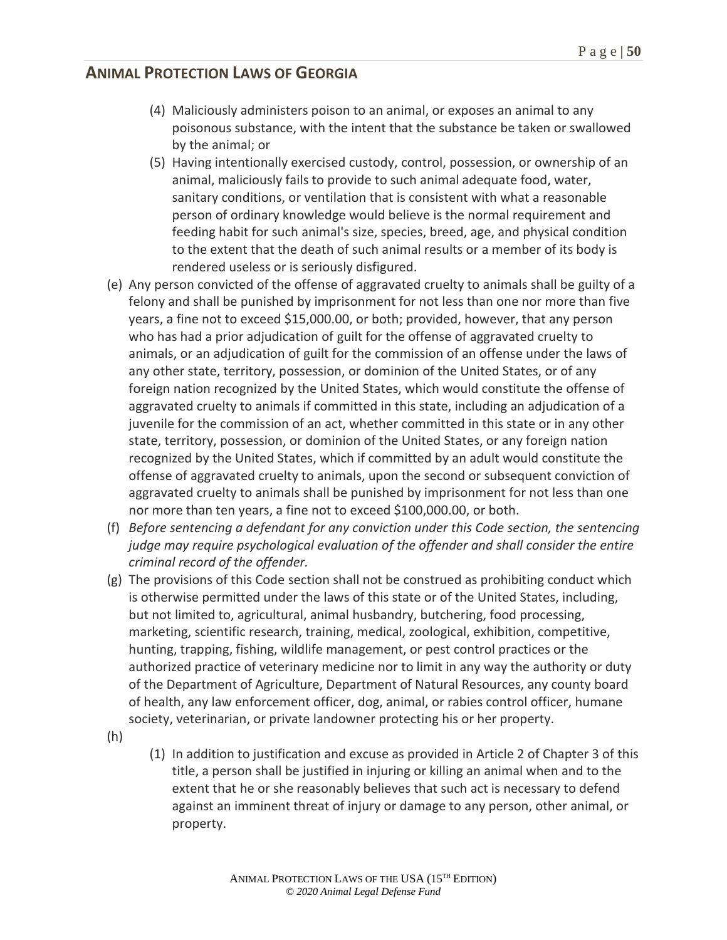- (4) Maliciously administers poison to an animal, or exposes an animal to any poisonous substance, with the intent that the substance be taken or swallowed by the animal; or
- (5) Having intentionally exercised custody, control, possession, or ownership of an animal, maliciously fails to provide to such animal adequate food, water, sanitary conditions, or ventilation that is consistent with what a reasonable person of ordinary knowledge would believe is the normal requirement and feeding habit for such animal's size, species, breed, age, and physical condition to the extent that the death of such animal results or a member of its body is rendered useless or is seriously disfigured.
- (e) Any person convicted of the offense of aggravated cruelty to animals shall be guilty of a felony and shall be punished by imprisonment for not less than one nor more than five years, a fine not to exceed \$15,000.00, or both; provided, however, that any person who has had a prior adjudication of guilt for the offense of aggravated cruelty to animals, or an adjudication of guilt for the commission of an offense under the laws of any other state, territory, possession, or dominion of the United States, or of any foreign nation recognized by the United States, which would constitute the offense of aggravated cruelty to animals if committed in this state, including an adjudication of a juvenile for the commission of an act, whether committed in this state or in any other state, territory, possession, or dominion of the United States, or any foreign nation recognized by the United States, which if committed by an adult would constitute the offense of aggravated cruelty to animals, upon the second or subsequent conviction of aggravated cruelty to animals shall be punished by imprisonment for not less than one nor more than ten years, a fine not to exceed \$100,000.00, or both.
- (f) *Before sentencing a defendant for any conviction under this Code section, the sentencing judge may require psychological evaluation of the offender and shall consider the entire criminal record of the offender.*
- (g) The provisions of this Code section shall not be construed as prohibiting conduct which is otherwise permitted under the laws of this state or of the United States, including, but not limited to, agricultural, animal husbandry, butchering, food processing, marketing, scientific research, training, medical, zoological, exhibition, competitive, hunting, trapping, fishing, wildlife management, or pest control practices or the authorized practice of veterinary medicine nor to limit in any way the authority or duty of the Department of Agriculture, Department of Natural Resources, any county board of health, any law enforcement officer, dog, animal, or rabies control officer, humane society, veterinarian, or private landowner protecting his or her property.
- (h)
- (1) In addition to justification and excuse as provided in Article 2 of Chapter 3 of this title, a person shall be justified in injuring or killing an animal when and to the extent that he or she reasonably believes that such act is necessary to defend against an imminent threat of injury or damage to any person, other animal, or property.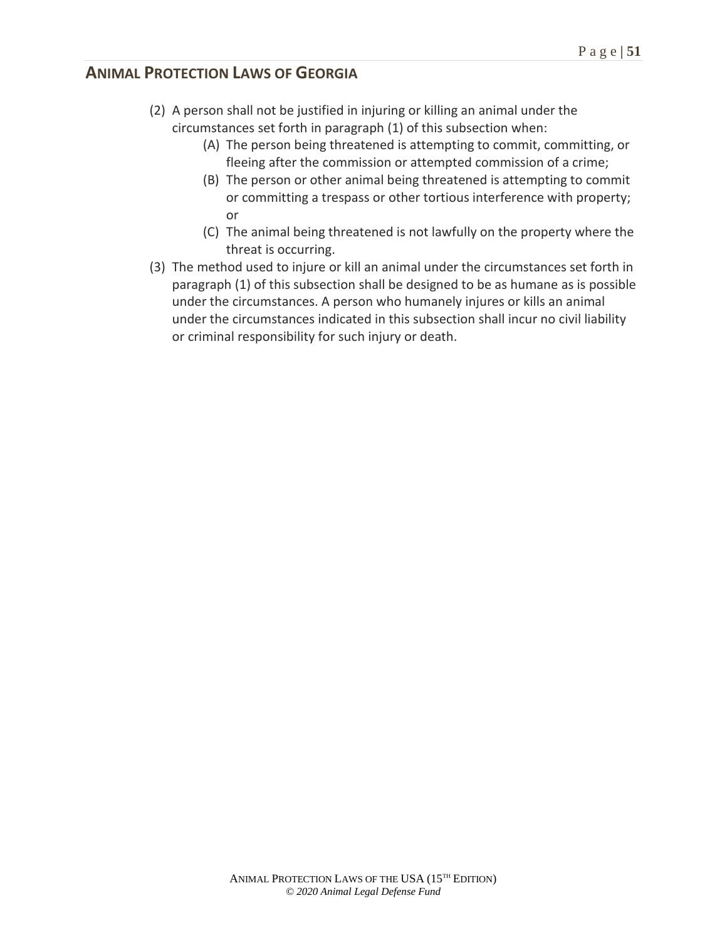- (2) A person shall not be justified in injuring or killing an animal under the circumstances set forth in paragraph (1) of this subsection when:
	- (A) The person being threatened is attempting to commit, committing, or fleeing after the commission or attempted commission of a crime;
	- (B) The person or other animal being threatened is attempting to commit or committing a trespass or other tortious interference with property; or
	- (C) The animal being threatened is not lawfully on the property where the threat is occurring.
- (3) The method used to injure or kill an animal under the circumstances set forth in paragraph (1) of this subsection shall be designed to be as humane as is possible under the circumstances. A person who humanely injures or kills an animal under the circumstances indicated in this subsection shall incur no civil liability or criminal responsibility for such injury or death.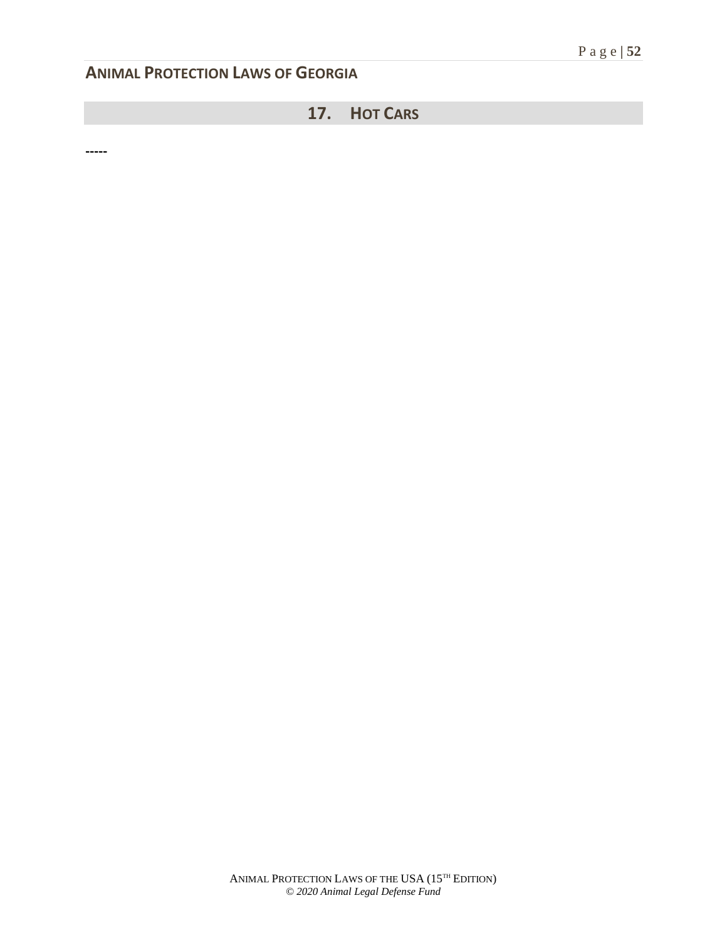## **17. HOT CARS**

**-----**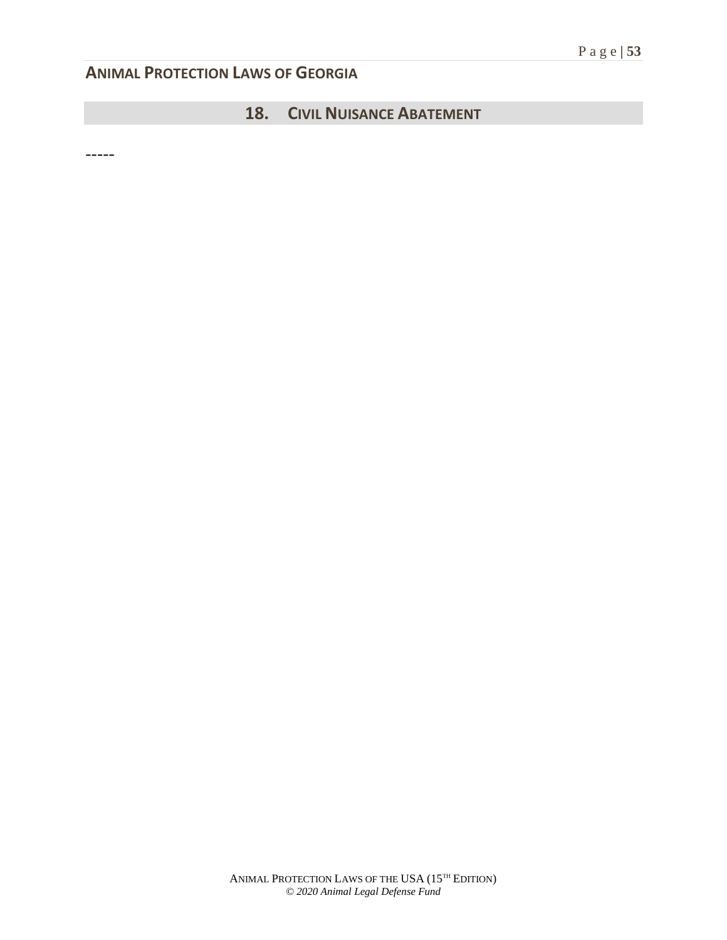## **18. CIVIL NUISANCE ABATEMENT**

-----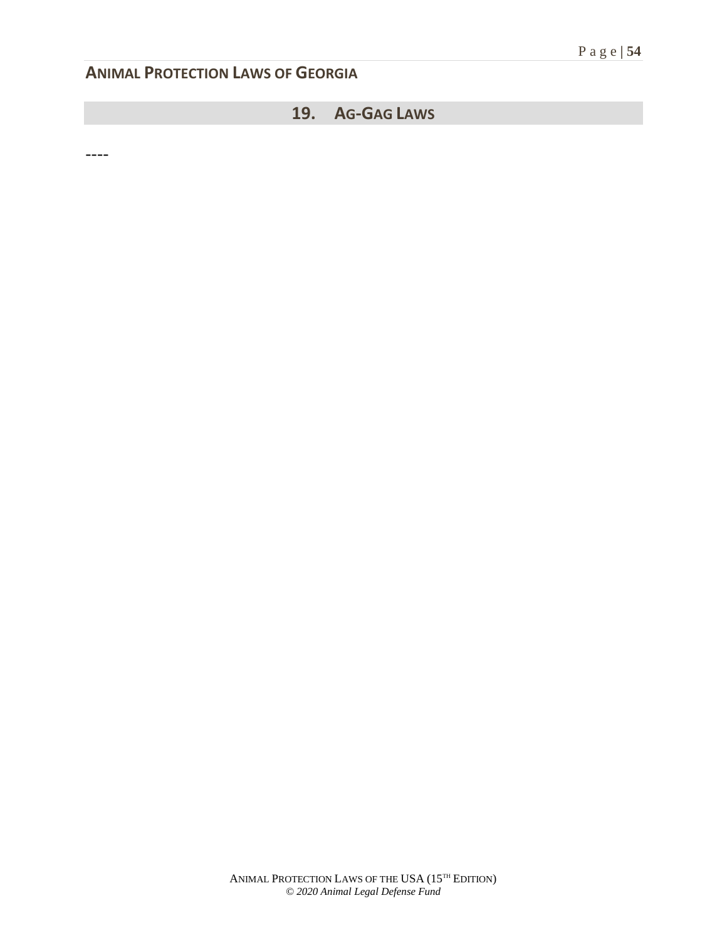## **19. AG-GAG LAWS**

----